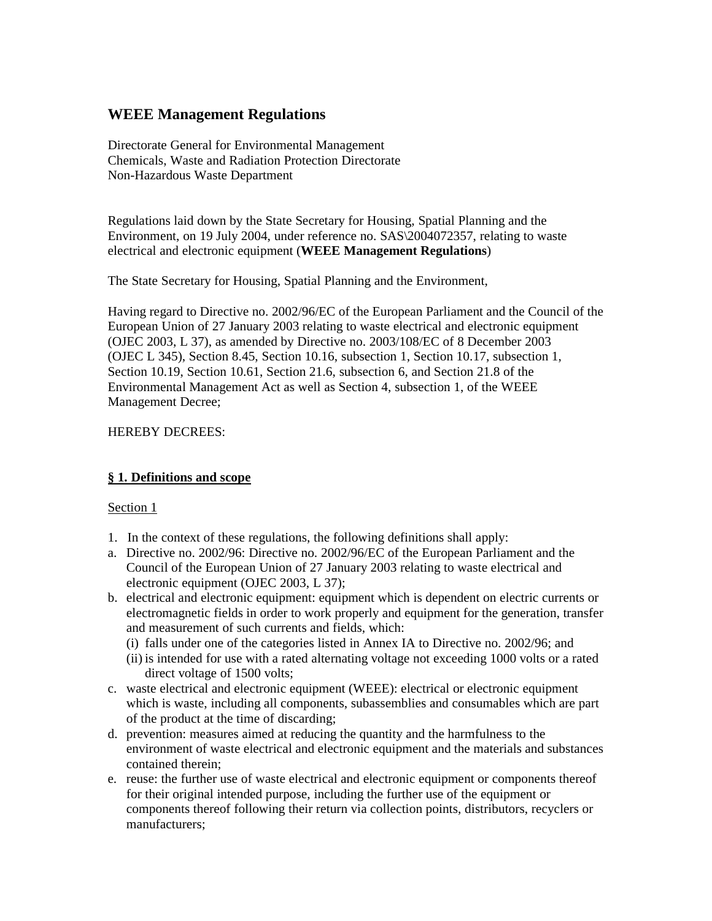# **WEEE Management Regulations**

Directorate General for Environmental Management Chemicals, Waste and Radiation Protection Directorate Non-Hazardous Waste Department

Regulations laid down by the State Secretary for Housing, Spatial Planning and the Environment, on 19 July 2004, under reference no. SAS\2004072357, relating to waste electrical and electronic equipment (**WEEE Management Regulations**)

The State Secretary for Housing, Spatial Planning and the Environment,

Having regard to Directive no. 2002/96/EC of the European Parliament and the Council of the European Union of 27 January 2003 relating to waste electrical and electronic equipment (OJEC 2003, L 37), as amended by Directive no. 2003/108/EC of 8 December 2003 (OJEC L 345), Section 8.45, Section 10.16, subsection 1, Section 10.17, subsection 1, Section 10.19, Section 10.61, Section 21.6, subsection 6, and Section 21.8 of the Environmental Management Act as well as Section 4, subsection 1, of the WEEE Management Decree;

## HEREBY DECREES:

## **§ 1. Definitions and scope**

- 1. In the context of these regulations, the following definitions shall apply:
- a. Directive no. 2002/96: Directive no. 2002/96/EC of the European Parliament and the Council of the European Union of 27 January 2003 relating to waste electrical and electronic equipment (OJEC 2003, L 37);
- b. electrical and electronic equipment: equipment which is dependent on electric currents or electromagnetic fields in order to work properly and equipment for the generation, transfer and measurement of such currents and fields, which:
	- (i) falls under one of the categories listed in Annex IA to Directive no. 2002/96; and
	- (ii) is intended for use with a rated alternating voltage not exceeding 1000 volts or a rated direct voltage of 1500 volts;
- c. waste electrical and electronic equipment (WEEE): electrical or electronic equipment which is waste, including all components, subassemblies and consumables which are part of the product at the time of discarding;
- d. prevention: measures aimed at reducing the quantity and the harmfulness to the environment of waste electrical and electronic equipment and the materials and substances contained therein;
- e. reuse: the further use of waste electrical and electronic equipment or components thereof for their original intended purpose, including the further use of the equipment or components thereof following their return via collection points, distributors, recyclers or manufacturers;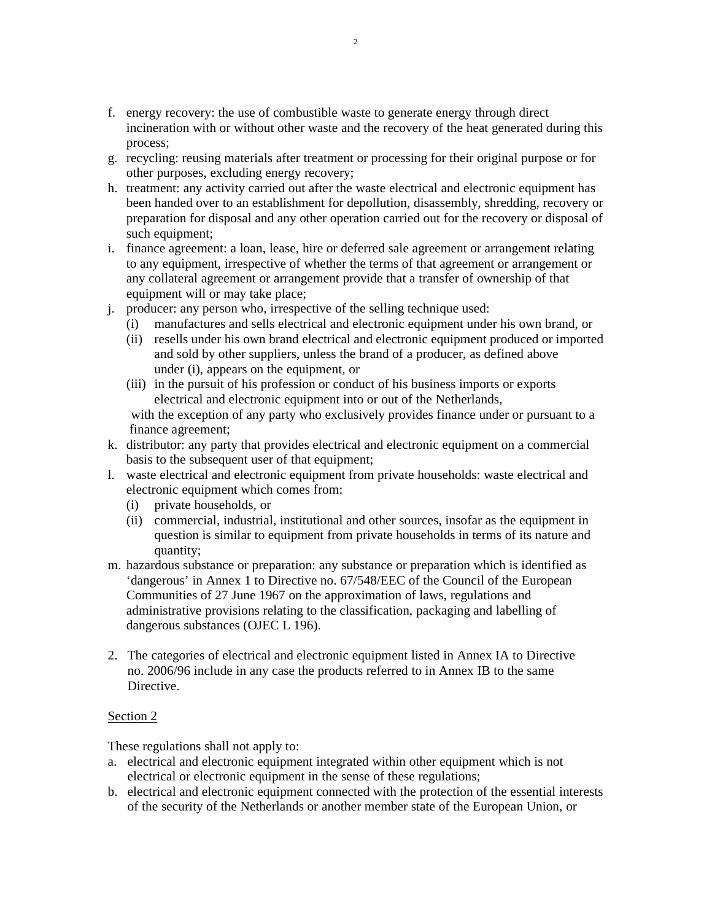- f. energy recovery: the use of combustible waste to generate energy through direct incineration with or without other waste and the recovery of the heat generated during this process;
- g. recycling: reusing materials after treatment or processing for their original purpose or for other purposes, excluding energy recovery;
- h. treatment: any activity carried out after the waste electrical and electronic equipment has been handed over to an establishment for depollution, disassembly, shredding, recovery or preparation for disposal and any other operation carried out for the recovery or disposal of such equipment;
- i. finance agreement: a loan, lease, hire or deferred sale agreement or arrangement relating to any equipment, irrespective of whether the terms of that agreement or arrangement or any collateral agreement or arrangement provide that a transfer of ownership of that equipment will or may take place;
- j. producer: any person who, irrespective of the selling technique used:
	- (i) manufactures and sells electrical and electronic equipment under his own brand, or
	- (ii) resells under his own brand electrical and electronic equipment produced or imported and sold by other suppliers, unless the brand of a producer, as defined above under (i), appears on the equipment, or
	- (iii) in the pursuit of his profession or conduct of his business imports or exports electrical and electronic equipment into or out of the Netherlands,

with the exception of any party who exclusively provides finance under or pursuant to a finance agreement;

- k. distributor: any party that provides electrical and electronic equipment on a commercial basis to the subsequent user of that equipment;
- l. waste electrical and electronic equipment from private households: waste electrical and electronic equipment which comes from:
	- (i) private households, or
	- (ii) commercial, industrial, institutional and other sources, insofar as the equipment in question is similar to equipment from private households in terms of its nature and quantity;
- m. hazardous substance or preparation: any substance or preparation which is identified as 'dangerous' in Annex 1 to Directive no. 67/548/EEC of the Council of the European Communities of 27 June 1967 on the approximation of laws, regulations and administrative provisions relating to the classification, packaging and labelling of dangerous substances (OJEC L 196).
- 2. The categories of electrical and electronic equipment listed in Annex IA to Directive no. 2006/96 include in any case the products referred to in Annex IB to the same Directive.

### Section 2

These regulations shall not apply to:

- a. electrical and electronic equipment integrated within other equipment which is not electrical or electronic equipment in the sense of these regulations;
- b. electrical and electronic equipment connected with the protection of the essential interests of the security of the Netherlands or another member state of the European Union, or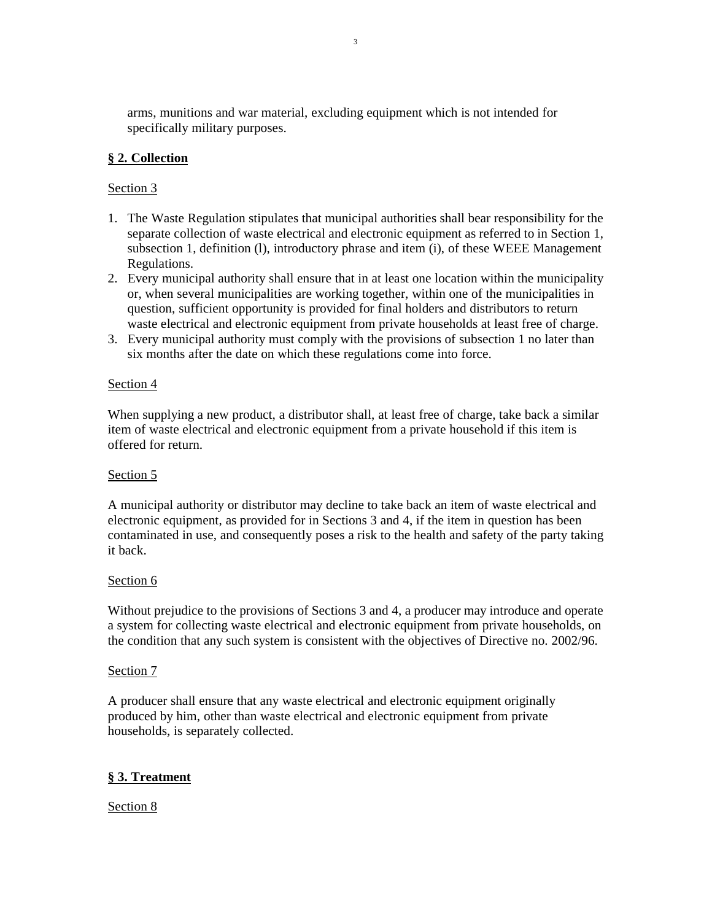arms, munitions and war material, excluding equipment which is not intended for specifically military purposes.

## **§ 2. Collection**

## Section 3

- 1. The Waste Regulation stipulates that municipal authorities shall bear responsibility for the separate collection of waste electrical and electronic equipment as referred to in Section 1, subsection 1, definition (l), introductory phrase and item (i), of these WEEE Management Regulations.
- 2. Every municipal authority shall ensure that in at least one location within the municipality or, when several municipalities are working together, within one of the municipalities in question, sufficient opportunity is provided for final holders and distributors to return waste electrical and electronic equipment from private households at least free of charge.
- 3. Every municipal authority must comply with the provisions of subsection 1 no later than six months after the date on which these regulations come into force.

### Section 4

When supplying a new product, a distributor shall, at least free of charge, take back a similar item of waste electrical and electronic equipment from a private household if this item is offered for return.

### Section 5

A municipal authority or distributor may decline to take back an item of waste electrical and electronic equipment, as provided for in Sections 3 and 4, if the item in question has been contaminated in use, and consequently poses a risk to the health and safety of the party taking it back.

### Section 6

Without prejudice to the provisions of Sections 3 and 4, a producer may introduce and operate a system for collecting waste electrical and electronic equipment from private households, on the condition that any such system is consistent with the objectives of Directive no. 2002/96.

### Section 7

A producer shall ensure that any waste electrical and electronic equipment originally produced by him, other than waste electrical and electronic equipment from private households, is separately collected.

## **§ 3. Treatment**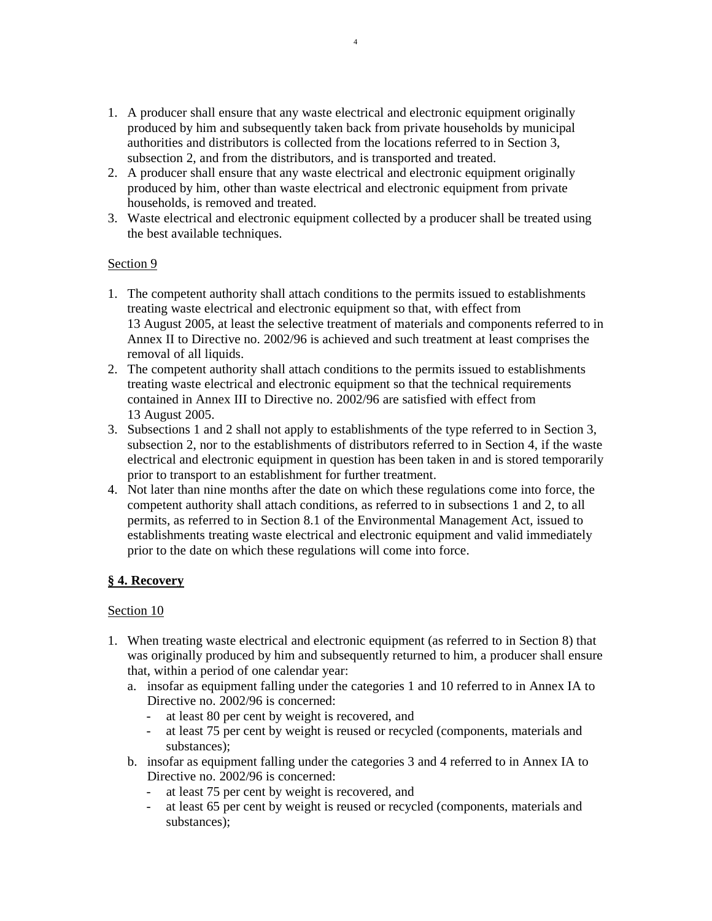- 1. A producer shall ensure that any waste electrical and electronic equipment originally produced by him and subsequently taken back from private households by municipal authorities and distributors is collected from the locations referred to in Section 3, subsection 2, and from the distributors, and is transported and treated.
- 2. A producer shall ensure that any waste electrical and electronic equipment originally produced by him, other than waste electrical and electronic equipment from private households, is removed and treated.
- 3. Waste electrical and electronic equipment collected by a producer shall be treated using the best available techniques.

### Section 9

- 1. The competent authority shall attach conditions to the permits issued to establishments treating waste electrical and electronic equipment so that, with effect from 13 August 2005, at least the selective treatment of materials and components referred to in Annex II to Directive no. 2002/96 is achieved and such treatment at least comprises the removal of all liquids.
- 2. The competent authority shall attach conditions to the permits issued to establishments treating waste electrical and electronic equipment so that the technical requirements contained in Annex III to Directive no. 2002/96 are satisfied with effect from 13 August 2005.
- 3. Subsections 1 and 2 shall not apply to establishments of the type referred to in Section 3, subsection 2, nor to the establishments of distributors referred to in Section 4, if the waste electrical and electronic equipment in question has been taken in and is stored temporarily prior to transport to an establishment for further treatment.
- 4. Not later than nine months after the date on which these regulations come into force, the competent authority shall attach conditions, as referred to in subsections 1 and 2, to all permits, as referred to in Section 8.1 of the Environmental Management Act, issued to establishments treating waste electrical and electronic equipment and valid immediately prior to the date on which these regulations will come into force.

## **§ 4. Recovery**

- 1. When treating waste electrical and electronic equipment (as referred to in Section 8) that was originally produced by him and subsequently returned to him, a producer shall ensure that, within a period of one calendar year:
	- a. insofar as equipment falling under the categories 1 and 10 referred to in Annex IA to Directive no. 2002/96 is concerned:
		- at least 80 per cent by weight is recovered, and
		- at least 75 per cent by weight is reused or recycled (components, materials and substances);
	- b. insofar as equipment falling under the categories 3 and 4 referred to in Annex IA to Directive no. 2002/96 is concerned:
		- at least 75 per cent by weight is recovered, and
		- at least 65 per cent by weight is reused or recycled (components, materials and substances);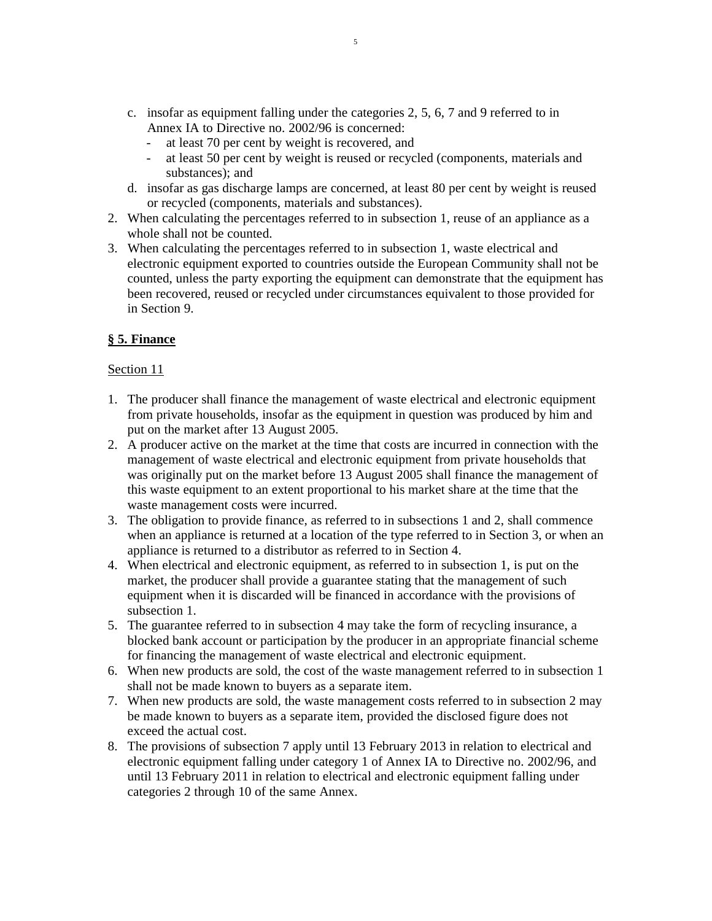- c. insofar as equipment falling under the categories 2, 5, 6, 7 and 9 referred to in Annex IA to Directive no. 2002/96 is concerned:
	- at least 70 per cent by weight is recovered, and
	- at least 50 per cent by weight is reused or recycled (components, materials and substances); and
- d. insofar as gas discharge lamps are concerned, at least 80 per cent by weight is reused or recycled (components, materials and substances).
- 2. When calculating the percentages referred to in subsection 1, reuse of an appliance as a whole shall not be counted.
- 3. When calculating the percentages referred to in subsection 1, waste electrical and electronic equipment exported to countries outside the European Community shall not be counted, unless the party exporting the equipment can demonstrate that the equipment has been recovered, reused or recycled under circumstances equivalent to those provided for in Section 9.

## **§ 5. Finance**

- 1. The producer shall finance the management of waste electrical and electronic equipment from private households, insofar as the equipment in question was produced by him and put on the market after 13 August 2005.
- 2. A producer active on the market at the time that costs are incurred in connection with the management of waste electrical and electronic equipment from private households that was originally put on the market before 13 August 2005 shall finance the management of this waste equipment to an extent proportional to his market share at the time that the waste management costs were incurred.
- 3. The obligation to provide finance, as referred to in subsections 1 and 2, shall commence when an appliance is returned at a location of the type referred to in Section 3, or when an appliance is returned to a distributor as referred to in Section 4.
- 4. When electrical and electronic equipment, as referred to in subsection 1, is put on the market, the producer shall provide a guarantee stating that the management of such equipment when it is discarded will be financed in accordance with the provisions of subsection 1.
- 5. The guarantee referred to in subsection 4 may take the form of recycling insurance, a blocked bank account or participation by the producer in an appropriate financial scheme for financing the management of waste electrical and electronic equipment.
- 6. When new products are sold, the cost of the waste management referred to in subsection 1 shall not be made known to buyers as a separate item.
- 7. When new products are sold, the waste management costs referred to in subsection 2 may be made known to buyers as a separate item, provided the disclosed figure does not exceed the actual cost.
- 8. The provisions of subsection 7 apply until 13 February 2013 in relation to electrical and electronic equipment falling under category 1 of Annex IA to Directive no. 2002/96, and until 13 February 2011 in relation to electrical and electronic equipment falling under categories 2 through 10 of the same Annex.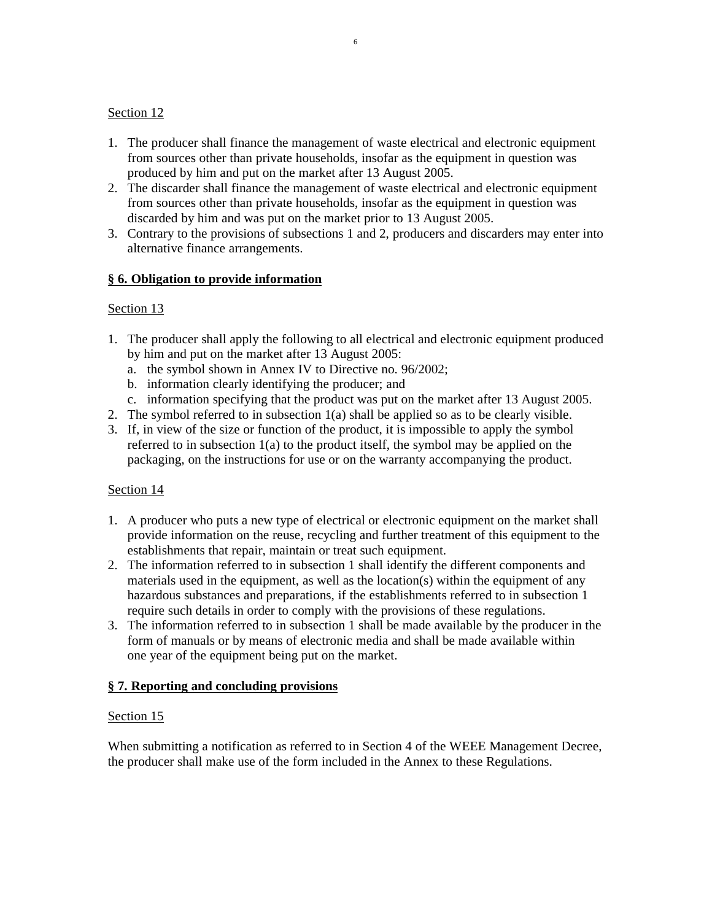## Section 12

- 1. The producer shall finance the management of waste electrical and electronic equipment from sources other than private households, insofar as the equipment in question was produced by him and put on the market after 13 August 2005.
- 2. The discarder shall finance the management of waste electrical and electronic equipment from sources other than private households, insofar as the equipment in question was discarded by him and was put on the market prior to 13 August 2005.
- 3. Contrary to the provisions of subsections 1 and 2, producers and discarders may enter into alternative finance arrangements.

### **§ 6. Obligation to provide information**

### Section 13

- 1. The producer shall apply the following to all electrical and electronic equipment produced by him and put on the market after 13 August 2005:
	- a. the symbol shown in Annex IV to Directive no. 96/2002;
	- b. information clearly identifying the producer; and
- c. information specifying that the product was put on the market after 13 August 2005.
- 2. The symbol referred to in subsection 1(a) shall be applied so as to be clearly visible.
- 3. If, in view of the size or function of the product, it is impossible to apply the symbol referred to in subsection  $1(a)$  to the product itself, the symbol may be applied on the packaging, on the instructions for use or on the warranty accompanying the product.

### Section 14

- 1. A producer who puts a new type of electrical or electronic equipment on the market shall provide information on the reuse, recycling and further treatment of this equipment to the establishments that repair, maintain or treat such equipment.
- 2. The information referred to in subsection 1 shall identify the different components and materials used in the equipment, as well as the location(s) within the equipment of any hazardous substances and preparations, if the establishments referred to in subsection 1 require such details in order to comply with the provisions of these regulations.
- 3. The information referred to in subsection 1 shall be made available by the producer in the form of manuals or by means of electronic media and shall be made available within one year of the equipment being put on the market.

### **§ 7. Reporting and concluding provisions**

### Section 15

When submitting a notification as referred to in Section 4 of the WEEE Management Decree, the producer shall make use of the form included in the Annex to these Regulations.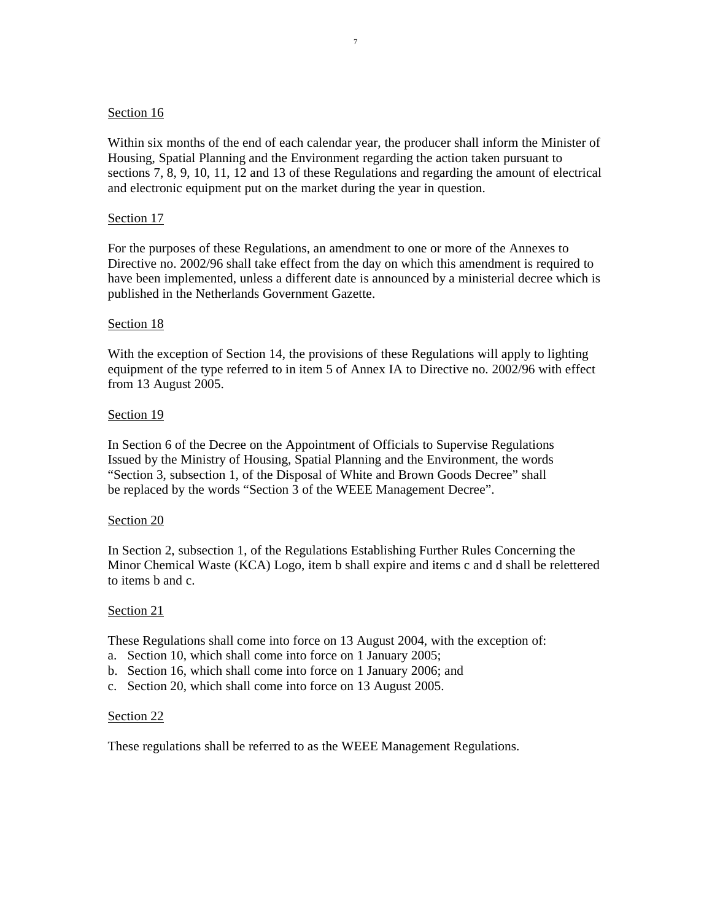### Section 16

Within six months of the end of each calendar year, the producer shall inform the Minister of Housing, Spatial Planning and the Environment regarding the action taken pursuant to sections 7, 8, 9, 10, 11, 12 and 13 of these Regulations and regarding the amount of electrical and electronic equipment put on the market during the year in question.

#### Section 17

For the purposes of these Regulations, an amendment to one or more of the Annexes to Directive no. 2002/96 shall take effect from the day on which this amendment is required to have been implemented, unless a different date is announced by a ministerial decree which is published in the Netherlands Government Gazette.

#### Section 18

With the exception of Section 14, the provisions of these Regulations will apply to lighting equipment of the type referred to in item 5 of Annex IA to Directive no. 2002/96 with effect from 13 August 2005.

#### Section 19

In Section 6 of the Decree on the Appointment of Officials to Supervise Regulations Issued by the Ministry of Housing, Spatial Planning and the Environment, the words "Section 3, subsection 1, of the Disposal of White and Brown Goods Decree" shall be replaced by the words "Section 3 of the WEEE Management Decree".

#### Section 20

In Section 2, subsection 1, of the Regulations Establishing Further Rules Concerning the Minor Chemical Waste (KCA) Logo, item b shall expire and items c and d shall be relettered to items b and c.

#### Section 21

These Regulations shall come into force on 13 August 2004, with the exception of:

- a. Section 10, which shall come into force on 1 January 2005;
- b. Section 16, which shall come into force on 1 January 2006; and
- c. Section 20, which shall come into force on 13 August 2005.

#### Section 22

These regulations shall be referred to as the WEEE Management Regulations.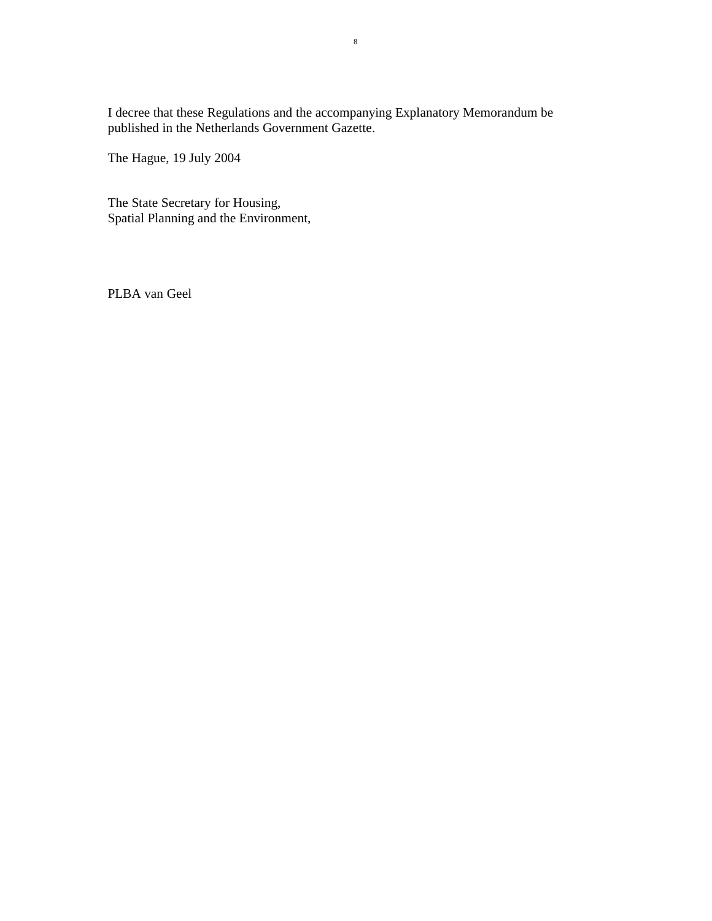I decree that these Regulations and the accompanying Explanatory Memorandum be published in the Netherlands Government Gazette.

The Hague, 19 July 2004

The State Secretary for Housing, Spatial Planning and the Environment,

PLBA van Geel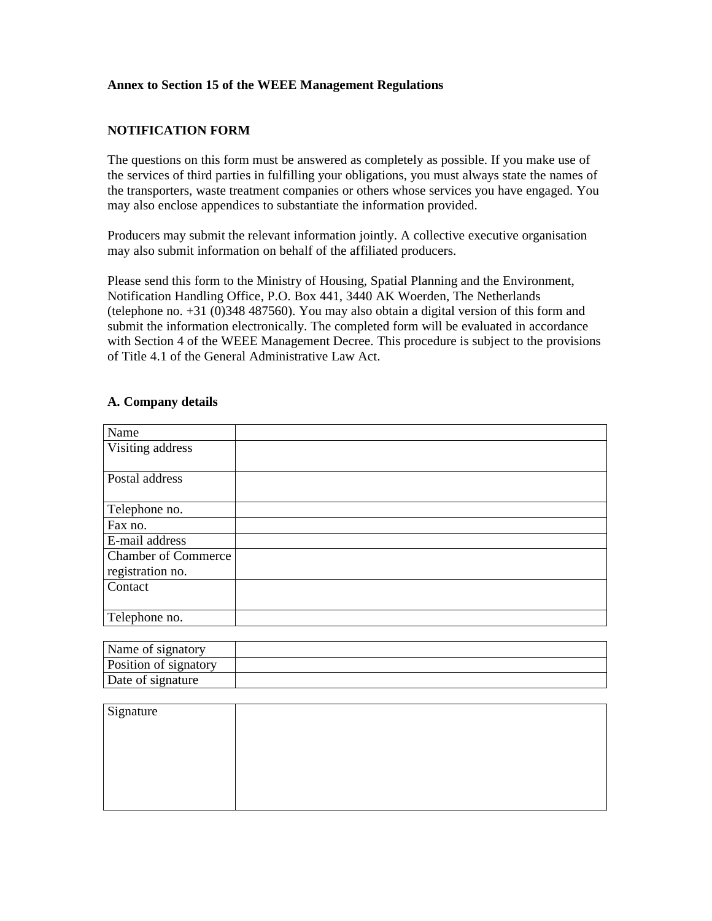### **Annex to Section 15 of the WEEE Management Regulations**

### **NOTIFICATION FORM**

The questions on this form must be answered as completely as possible. If you make use of the services of third parties in fulfilling your obligations, you must always state the names of the transporters, waste treatment companies or others whose services you have engaged. You may also enclose appendices to substantiate the information provided.

Producers may submit the relevant information jointly. A collective executive organisation may also submit information on behalf of the affiliated producers.

Please send this form to the Ministry of Housing, Spatial Planning and the Environment, Notification Handling Office, P.O. Box 441, 3440 AK Woerden, The Netherlands (telephone no. +31 (0)348 487560). You may also obtain a digital version of this form and submit the information electronically. The completed form will be evaluated in accordance with Section 4 of the WEEE Management Decree. This procedure is subject to the provisions of Title 4.1 of the General Administrative Law Act.

#### **A. Company details**

| Name                       |  |
|----------------------------|--|
| Visiting address           |  |
|                            |  |
| Postal address             |  |
|                            |  |
| Telephone no.              |  |
| Fax no.                    |  |
| E-mail address             |  |
| <b>Chamber of Commerce</b> |  |
| registration no.           |  |
| Contact                    |  |
|                            |  |
| Telephone no.              |  |

| Name of signatory     |  |
|-----------------------|--|
| Position of signatory |  |
| Date of signature     |  |

| Signature |  |
|-----------|--|
|           |  |
|           |  |
|           |  |
|           |  |
|           |  |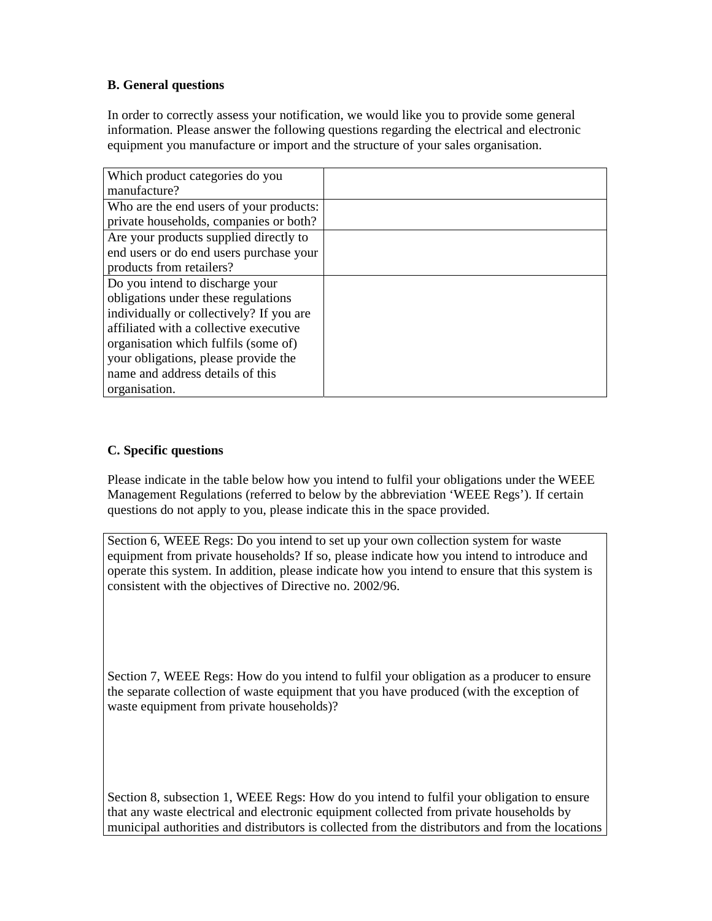## **B. General questions**

In order to correctly assess your notification, we would like you to provide some general information. Please answer the following questions regarding the electrical and electronic equipment you manufacture or import and the structure of your sales organisation.

| Which product categories do you          |  |
|------------------------------------------|--|
| manufacture?                             |  |
| Who are the end users of your products:  |  |
| private households, companies or both?   |  |
| Are your products supplied directly to   |  |
| end users or do end users purchase your  |  |
| products from retailers?                 |  |
| Do you intend to discharge your          |  |
| obligations under these regulations      |  |
| individually or collectively? If you are |  |
| affiliated with a collective executive   |  |
| organisation which fulfils (some of)     |  |
| your obligations, please provide the     |  |
| name and address details of this         |  |
| organisation.                            |  |

### **C. Specific questions**

Please indicate in the table below how you intend to fulfil your obligations under the WEEE Management Regulations (referred to below by the abbreviation 'WEEE Regs'). If certain questions do not apply to you, please indicate this in the space provided.

Section 6, WEEE Regs: Do you intend to set up your own collection system for waste equipment from private households? If so, please indicate how you intend to introduce and operate this system. In addition, please indicate how you intend to ensure that this system is consistent with the objectives of Directive no. 2002/96.

Section 7, WEEE Regs: How do you intend to fulfil your obligation as a producer to ensure the separate collection of waste equipment that you have produced (with the exception of waste equipment from private households)?

Section 8, subsection 1, WEEE Regs: How do you intend to fulfil your obligation to ensure that any waste electrical and electronic equipment collected from private households by municipal authorities and distributors is collected from the distributors and from the locations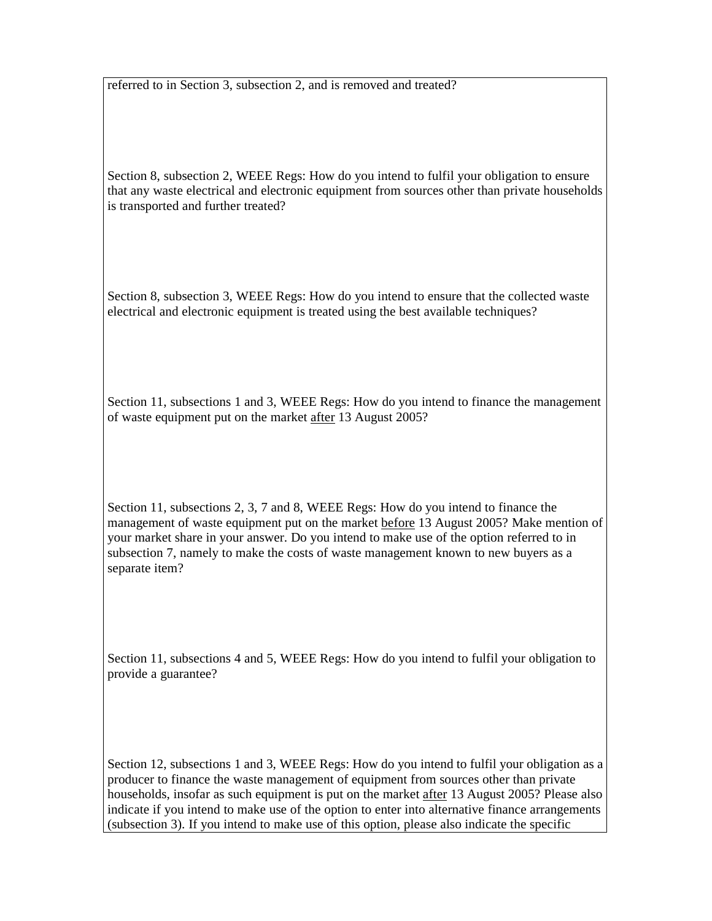referred to in Section 3, subsection 2, and is removed and treated?

Section 8, subsection 2, WEEE Regs: How do you intend to fulfil your obligation to ensure that any waste electrical and electronic equipment from sources other than private households is transported and further treated?

Section 8, subsection 3, WEEE Regs: How do you intend to ensure that the collected waste electrical and electronic equipment is treated using the best available techniques?

Section 11, subsections 1 and 3, WEEE Regs: How do you intend to finance the management of waste equipment put on the market after 13 August 2005?

Section 11, subsections 2, 3, 7 and 8, WEEE Regs: How do you intend to finance the management of waste equipment put on the market before 13 August 2005? Make mention of your market share in your answer. Do you intend to make use of the option referred to in subsection 7, namely to make the costs of waste management known to new buyers as a separate item?

Section 11, subsections 4 and 5, WEEE Regs: How do you intend to fulfil your obligation to provide a guarantee?

Section 12, subsections 1 and 3, WEEE Regs: How do you intend to fulfil your obligation as a producer to finance the waste management of equipment from sources other than private households, insofar as such equipment is put on the market after 13 August 2005? Please also indicate if you intend to make use of the option to enter into alternative finance arrangements (subsection 3). If you intend to make use of this option, please also indicate the specific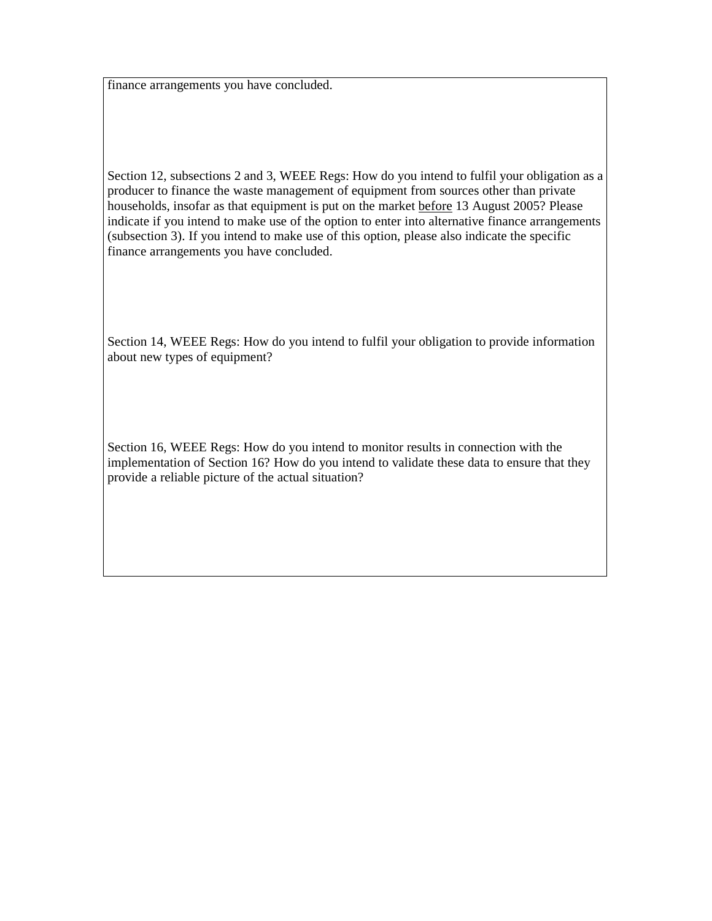finance arrangements you have concluded.

Section 12, subsections 2 and 3, WEEE Regs: How do you intend to fulfil your obligation as a producer to finance the waste management of equipment from sources other than private households, insofar as that equipment is put on the market before 13 August 2005? Please indicate if you intend to make use of the option to enter into alternative finance arrangements (subsection 3). If you intend to make use of this option, please also indicate the specific finance arrangements you have concluded.

Section 14, WEEE Regs: How do you intend to fulfil your obligation to provide information about new types of equipment?

Section 16, WEEE Regs: How do you intend to monitor results in connection with the implementation of Section 16? How do you intend to validate these data to ensure that they provide a reliable picture of the actual situation?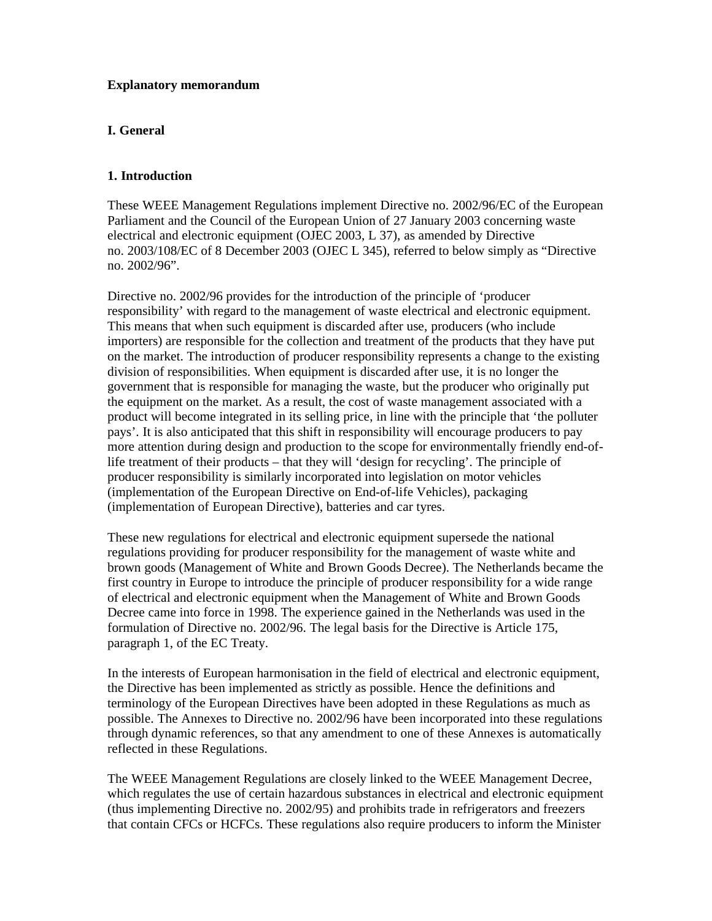#### **Explanatory memorandum**

## **I. General**

### **1. Introduction**

These WEEE Management Regulations implement Directive no. 2002/96/EC of the European Parliament and the Council of the European Union of 27 January 2003 concerning waste electrical and electronic equipment (OJEC 2003, L 37), as amended by Directive no. 2003/108/EC of 8 December 2003 (OJEC L 345), referred to below simply as "Directive no. 2002/96".

Directive no. 2002/96 provides for the introduction of the principle of 'producer responsibility' with regard to the management of waste electrical and electronic equipment. This means that when such equipment is discarded after use, producers (who include importers) are responsible for the collection and treatment of the products that they have put on the market. The introduction of producer responsibility represents a change to the existing division of responsibilities. When equipment is discarded after use, it is no longer the government that is responsible for managing the waste, but the producer who originally put the equipment on the market. As a result, the cost of waste management associated with a product will become integrated in its selling price, in line with the principle that 'the polluter pays'. It is also anticipated that this shift in responsibility will encourage producers to pay more attention during design and production to the scope for environmentally friendly end-oflife treatment of their products – that they will 'design for recycling'. The principle of producer responsibility is similarly incorporated into legislation on motor vehicles (implementation of the European Directive on End-of-life Vehicles), packaging (implementation of European Directive), batteries and car tyres.

These new regulations for electrical and electronic equipment supersede the national regulations providing for producer responsibility for the management of waste white and brown goods (Management of White and Brown Goods Decree). The Netherlands became the first country in Europe to introduce the principle of producer responsibility for a wide range of electrical and electronic equipment when the Management of White and Brown Goods Decree came into force in 1998. The experience gained in the Netherlands was used in the formulation of Directive no. 2002/96. The legal basis for the Directive is Article 175, paragraph 1, of the EC Treaty.

In the interests of European harmonisation in the field of electrical and electronic equipment, the Directive has been implemented as strictly as possible. Hence the definitions and terminology of the European Directives have been adopted in these Regulations as much as possible. The Annexes to Directive no. 2002/96 have been incorporated into these regulations through dynamic references, so that any amendment to one of these Annexes is automatically reflected in these Regulations.

The WEEE Management Regulations are closely linked to the WEEE Management Decree, which regulates the use of certain hazardous substances in electrical and electronic equipment (thus implementing Directive no. 2002/95) and prohibits trade in refrigerators and freezers that contain CFCs or HCFCs. These regulations also require producers to inform the Minister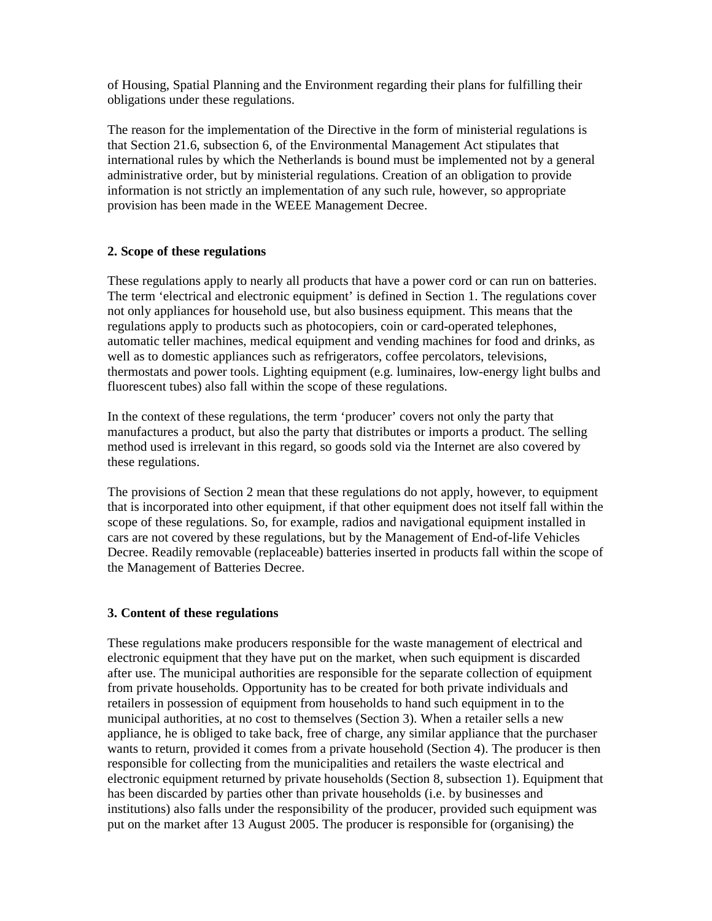of Housing, Spatial Planning and the Environment regarding their plans for fulfilling their obligations under these regulations.

The reason for the implementation of the Directive in the form of ministerial regulations is that Section 21.6, subsection 6, of the Environmental Management Act stipulates that international rules by which the Netherlands is bound must be implemented not by a general administrative order, but by ministerial regulations. Creation of an obligation to provide information is not strictly an implementation of any such rule, however, so appropriate provision has been made in the WEEE Management Decree.

### **2. Scope of these regulations**

These regulations apply to nearly all products that have a power cord or can run on batteries. The term 'electrical and electronic equipment' is defined in Section 1. The regulations cover not only appliances for household use, but also business equipment. This means that the regulations apply to products such as photocopiers, coin or card-operated telephones, automatic teller machines, medical equipment and vending machines for food and drinks, as well as to domestic appliances such as refrigerators, coffee percolators, televisions, thermostats and power tools. Lighting equipment (e.g. luminaires, low-energy light bulbs and fluorescent tubes) also fall within the scope of these regulations.

In the context of these regulations, the term 'producer' covers not only the party that manufactures a product, but also the party that distributes or imports a product. The selling method used is irrelevant in this regard, so goods sold via the Internet are also covered by these regulations.

The provisions of Section 2 mean that these regulations do not apply, however, to equipment that is incorporated into other equipment, if that other equipment does not itself fall within the scope of these regulations. So, for example, radios and navigational equipment installed in cars are not covered by these regulations, but by the Management of End-of-life Vehicles Decree. Readily removable (replaceable) batteries inserted in products fall within the scope of the Management of Batteries Decree.

## **3. Content of these regulations**

These regulations make producers responsible for the waste management of electrical and electronic equipment that they have put on the market, when such equipment is discarded after use. The municipal authorities are responsible for the separate collection of equipment from private households. Opportunity has to be created for both private individuals and retailers in possession of equipment from households to hand such equipment in to the municipal authorities, at no cost to themselves (Section 3). When a retailer sells a new appliance, he is obliged to take back, free of charge, any similar appliance that the purchaser wants to return, provided it comes from a private household (Section 4). The producer is then responsible for collecting from the municipalities and retailers the waste electrical and electronic equipment returned by private households (Section 8, subsection 1). Equipment that has been discarded by parties other than private households (i.e. by businesses and institutions) also falls under the responsibility of the producer, provided such equipment was put on the market after 13 August 2005. The producer is responsible for (organising) the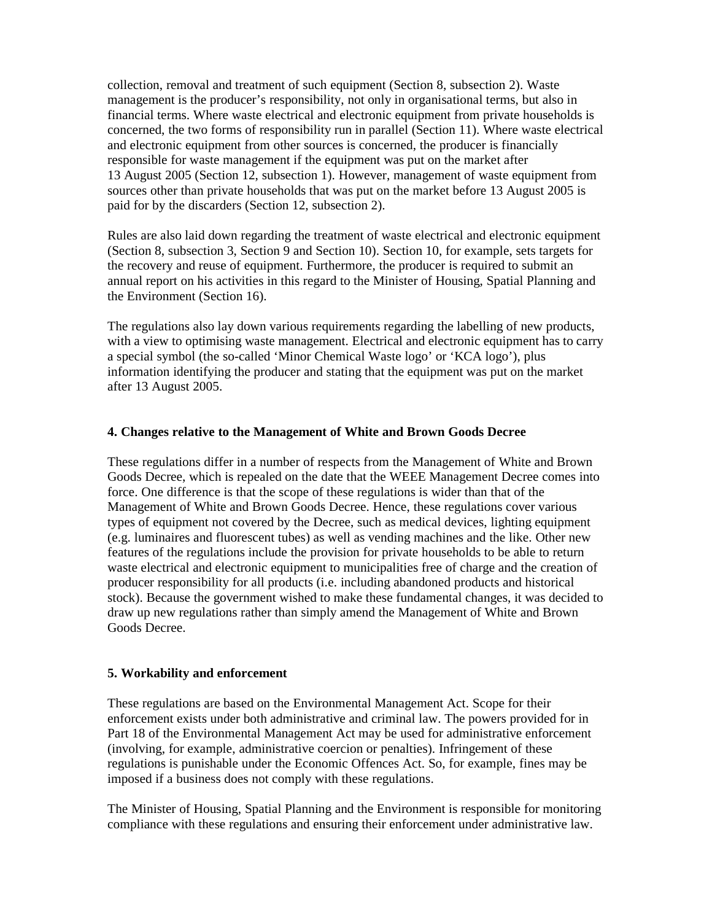collection, removal and treatment of such equipment (Section 8, subsection 2). Waste management is the producer's responsibility, not only in organisational terms, but also in financial terms. Where waste electrical and electronic equipment from private households is concerned, the two forms of responsibility run in parallel (Section 11). Where waste electrical and electronic equipment from other sources is concerned, the producer is financially responsible for waste management if the equipment was put on the market after 13 August 2005 (Section 12, subsection 1). However, management of waste equipment from sources other than private households that was put on the market before 13 August 2005 is paid for by the discarders (Section 12, subsection 2).

Rules are also laid down regarding the treatment of waste electrical and electronic equipment (Section 8, subsection 3, Section 9 and Section 10). Section 10, for example, sets targets for the recovery and reuse of equipment. Furthermore, the producer is required to submit an annual report on his activities in this regard to the Minister of Housing, Spatial Planning and the Environment (Section 16).

The regulations also lay down various requirements regarding the labelling of new products, with a view to optimising waste management. Electrical and electronic equipment has to carry a special symbol (the so-called 'Minor Chemical Waste logo' or 'KCA logo'), plus information identifying the producer and stating that the equipment was put on the market after 13 August 2005.

#### **4. Changes relative to the Management of White and Brown Goods Decree**

These regulations differ in a number of respects from the Management of White and Brown Goods Decree, which is repealed on the date that the WEEE Management Decree comes into force. One difference is that the scope of these regulations is wider than that of the Management of White and Brown Goods Decree. Hence, these regulations cover various types of equipment not covered by the Decree, such as medical devices, lighting equipment (e.g. luminaires and fluorescent tubes) as well as vending machines and the like. Other new features of the regulations include the provision for private households to be able to return waste electrical and electronic equipment to municipalities free of charge and the creation of producer responsibility for all products (i.e. including abandoned products and historical stock). Because the government wished to make these fundamental changes, it was decided to draw up new regulations rather than simply amend the Management of White and Brown Goods Decree.

#### **5. Workability and enforcement**

These regulations are based on the Environmental Management Act. Scope for their enforcement exists under both administrative and criminal law. The powers provided for in Part 18 of the Environmental Management Act may be used for administrative enforcement (involving, for example, administrative coercion or penalties). Infringement of these regulations is punishable under the Economic Offences Act. So, for example, fines may be imposed if a business does not comply with these regulations.

The Minister of Housing, Spatial Planning and the Environment is responsible for monitoring compliance with these regulations and ensuring their enforcement under administrative law.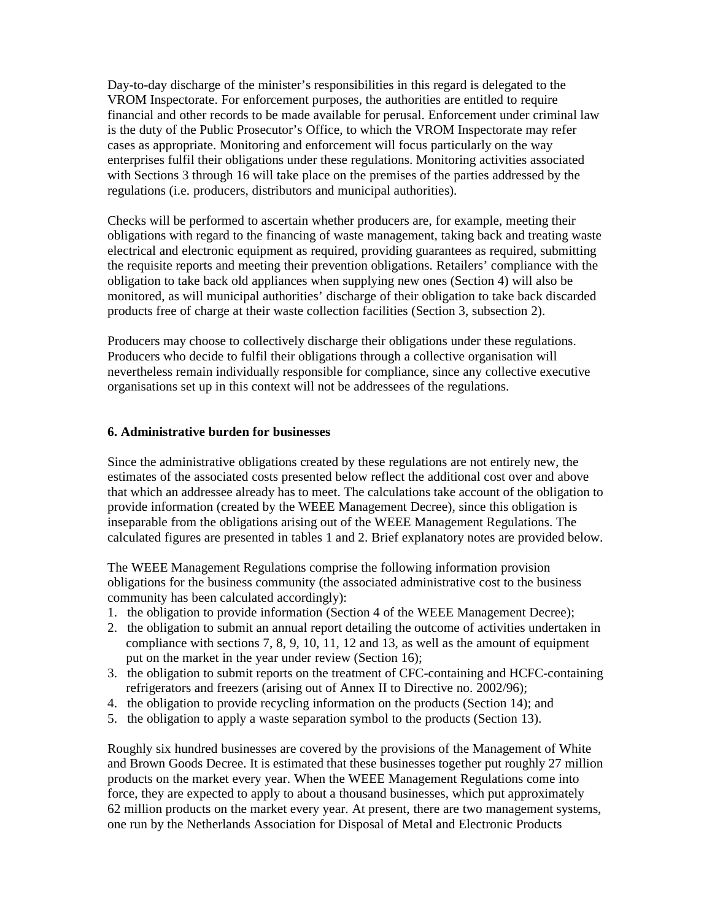Day-to-day discharge of the minister's responsibilities in this regard is delegated to the VROM Inspectorate. For enforcement purposes, the authorities are entitled to require financial and other records to be made available for perusal. Enforcement under criminal law is the duty of the Public Prosecutor's Office, to which the VROM Inspectorate may refer cases as appropriate. Monitoring and enforcement will focus particularly on the way enterprises fulfil their obligations under these regulations. Monitoring activities associated with Sections 3 through 16 will take place on the premises of the parties addressed by the regulations (i.e. producers, distributors and municipal authorities).

Checks will be performed to ascertain whether producers are, for example, meeting their obligations with regard to the financing of waste management, taking back and treating waste electrical and electronic equipment as required, providing guarantees as required, submitting the requisite reports and meeting their prevention obligations. Retailers' compliance with the obligation to take back old appliances when supplying new ones (Section 4) will also be monitored, as will municipal authorities' discharge of their obligation to take back discarded products free of charge at their waste collection facilities (Section 3, subsection 2).

Producers may choose to collectively discharge their obligations under these regulations. Producers who decide to fulfil their obligations through a collective organisation will nevertheless remain individually responsible for compliance, since any collective executive organisations set up in this context will not be addressees of the regulations.

#### **6. Administrative burden for businesses**

Since the administrative obligations created by these regulations are not entirely new, the estimates of the associated costs presented below reflect the additional cost over and above that which an addressee already has to meet. The calculations take account of the obligation to provide information (created by the WEEE Management Decree), since this obligation is inseparable from the obligations arising out of the WEEE Management Regulations. The calculated figures are presented in tables 1 and 2. Brief explanatory notes are provided below.

The WEEE Management Regulations comprise the following information provision obligations for the business community (the associated administrative cost to the business community has been calculated accordingly):

- 1. the obligation to provide information (Section 4 of the WEEE Management Decree);
- 2. the obligation to submit an annual report detailing the outcome of activities undertaken in compliance with sections 7, 8, 9, 10, 11, 12 and 13, as well as the amount of equipment put on the market in the year under review (Section 16);
- 3. the obligation to submit reports on the treatment of CFC-containing and HCFC-containing refrigerators and freezers (arising out of Annex II to Directive no. 2002/96);
- 4. the obligation to provide recycling information on the products (Section 14); and
- 5. the obligation to apply a waste separation symbol to the products (Section 13).

Roughly six hundred businesses are covered by the provisions of the Management of White and Brown Goods Decree. It is estimated that these businesses together put roughly 27 million products on the market every year. When the WEEE Management Regulations come into force, they are expected to apply to about a thousand businesses, which put approximately 62 million products on the market every year. At present, there are two management systems, one run by the Netherlands Association for Disposal of Metal and Electronic Products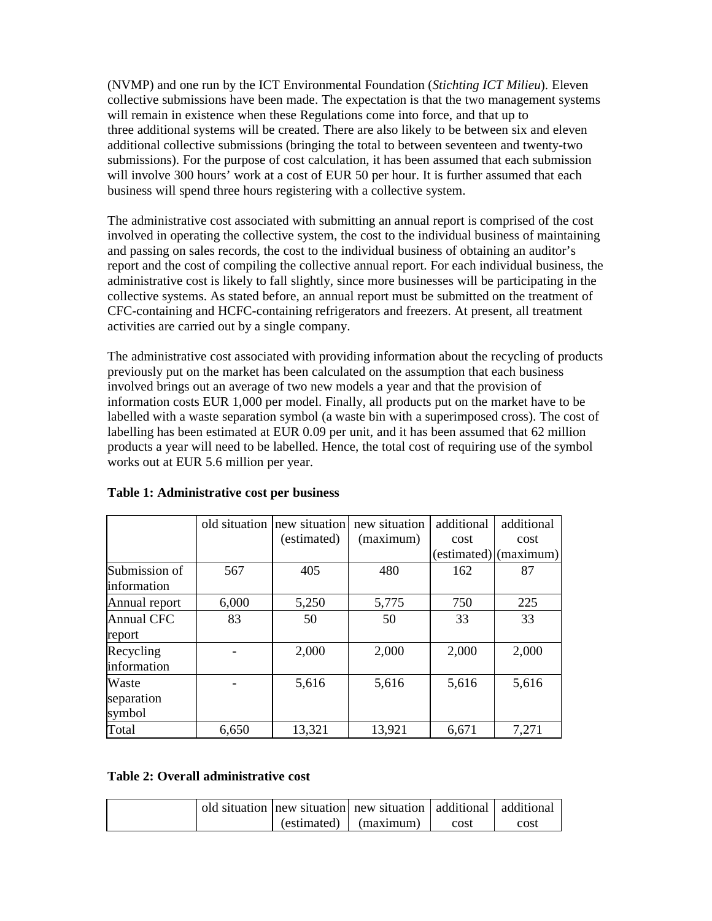(NVMP) and one run by the ICT Environmental Foundation (*Stichting ICT Milieu*). Eleven collective submissions have been made. The expectation is that the two management systems will remain in existence when these Regulations come into force, and that up to three additional systems will be created. There are also likely to be between six and eleven additional collective submissions (bringing the total to between seventeen and twenty-two submissions). For the purpose of cost calculation, it has been assumed that each submission will involve 300 hours' work at a cost of EUR 50 per hour. It is further assumed that each business will spend three hours registering with a collective system.

The administrative cost associated with submitting an annual report is comprised of the cost involved in operating the collective system, the cost to the individual business of maintaining and passing on sales records, the cost to the individual business of obtaining an auditor's report and the cost of compiling the collective annual report. For each individual business, the administrative cost is likely to fall slightly, since more businesses will be participating in the collective systems. As stated before, an annual report must be submitted on the treatment of CFC-containing and HCFC-containing refrigerators and freezers. At present, all treatment activities are carried out by a single company.

The administrative cost associated with providing information about the recycling of products previously put on the market has been calculated on the assumption that each business involved brings out an average of two new models a year and that the provision of information costs EUR 1,000 per model. Finally, all products put on the market have to be labelled with a waste separation symbol (a waste bin with a superimposed cross). The cost of labelling has been estimated at EUR 0.09 per unit, and it has been assumed that 62 million products a year will need to be labelled. Hence, the total cost of requiring use of the symbol works out at EUR 5.6 million per year.

|                   |       | old situation new situation | new situation | additional  | additional |
|-------------------|-------|-----------------------------|---------------|-------------|------------|
|                   |       | (estimated)                 | (maximum)     | cost        | cost       |
|                   |       |                             |               | (estimated) | (maximum)  |
| Submission of     | 567   | 405                         | 480           | 162         | 87         |
| information       |       |                             |               |             |            |
| Annual report     | 6,000 | 5,250                       | 5,775         | 750         | 225        |
| <b>Annual CFC</b> | 83    | 50                          | 50            | 33          | 33         |
| report            |       |                             |               |             |            |
| Recycling         |       | 2,000                       | 2,000         | 2,000       | 2,000      |
| information       |       |                             |               |             |            |
| Waste             |       | 5,616                       | 5,616         | 5,616       | 5,616      |
| separation        |       |                             |               |             |            |
| symbol            |       |                             |               |             |            |
| Total             | 6,650 | 13,321                      | 13,921        | 6,671       | 7,271      |

### **Table 1: Administrative cost per business**

### **Table 2: Overall administrative cost**

|  | old situation new situation new situation additional additional |      |      |
|--|-----------------------------------------------------------------|------|------|
|  | $\left($ estimated) $\left  \right $ (maximum)                  | cost | cost |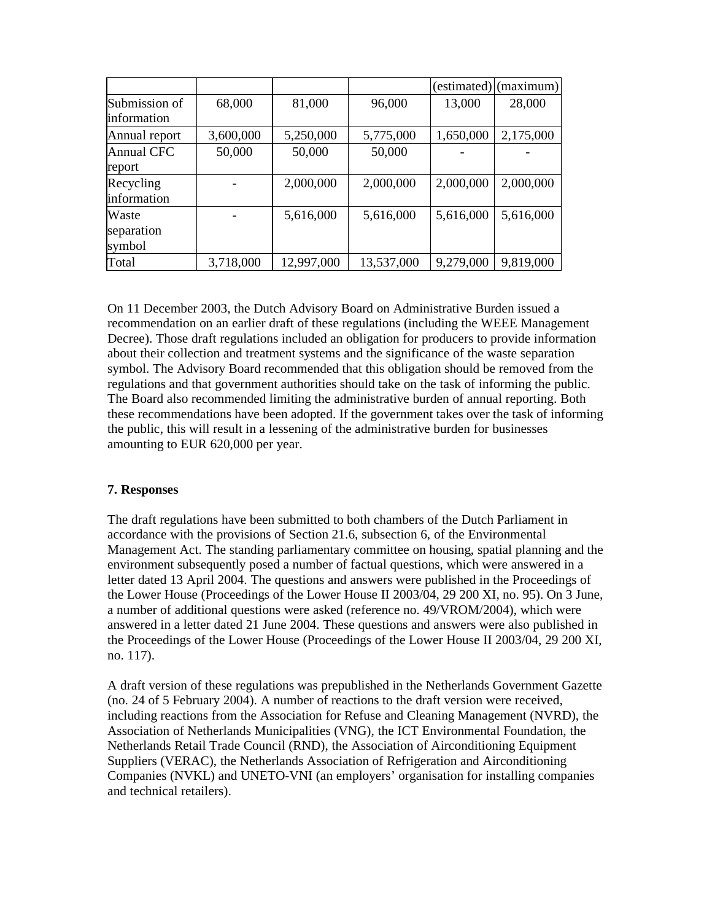|                                     |           |            |            | (estimated) | (maximum) |
|-------------------------------------|-----------|------------|------------|-------------|-----------|
| Submission of<br><i>information</i> | 68,000    | 81,000     | 96,000     | 13,000      | 28,000    |
| Annual report                       | 3,600,000 | 5,250,000  | 5,775,000  | 1,650,000   | 2,175,000 |
| <b>Annual CFC</b><br>report         | 50,000    | 50,000     | 50,000     |             |           |
| Recycling<br>information            |           | 2,000,000  | 2,000,000  | 2,000,000   | 2,000,000 |
| Waste<br>separation<br>symbol       |           | 5,616,000  | 5,616,000  | 5,616,000   | 5,616,000 |
| Total                               | 3,718,000 | 12,997,000 | 13,537,000 | 9,279,000   | 9,819,000 |

On 11 December 2003, the Dutch Advisory Board on Administrative Burden issued a recommendation on an earlier draft of these regulations (including the WEEE Management Decree). Those draft regulations included an obligation for producers to provide information about their collection and treatment systems and the significance of the waste separation symbol. The Advisory Board recommended that this obligation should be removed from the regulations and that government authorities should take on the task of informing the public. The Board also recommended limiting the administrative burden of annual reporting. Both these recommendations have been adopted. If the government takes over the task of informing the public, this will result in a lessening of the administrative burden for businesses amounting to EUR 620,000 per year.

### **7. Responses**

The draft regulations have been submitted to both chambers of the Dutch Parliament in accordance with the provisions of Section 21.6, subsection 6, of the Environmental Management Act. The standing parliamentary committee on housing, spatial planning and the environment subsequently posed a number of factual questions, which were answered in a letter dated 13 April 2004. The questions and answers were published in the Proceedings of the Lower House (Proceedings of the Lower House II 2003/04, 29 200 XI, no. 95). On 3 June, a number of additional questions were asked (reference no. 49/VROM/2004), which were answered in a letter dated 21 June 2004. These questions and answers were also published in the Proceedings of the Lower House (Proceedings of the Lower House II 2003/04, 29 200 XI, no. 117).

A draft version of these regulations was prepublished in the Netherlands Government Gazette (no. 24 of 5 February 2004). A number of reactions to the draft version were received, including reactions from the Association for Refuse and Cleaning Management (NVRD), the Association of Netherlands Municipalities (VNG), the ICT Environmental Foundation, the Netherlands Retail Trade Council (RND), the Association of Airconditioning Equipment Suppliers (VERAC), the Netherlands Association of Refrigeration and Airconditioning Companies (NVKL) and UNETO-VNI (an employers' organisation for installing companies and technical retailers).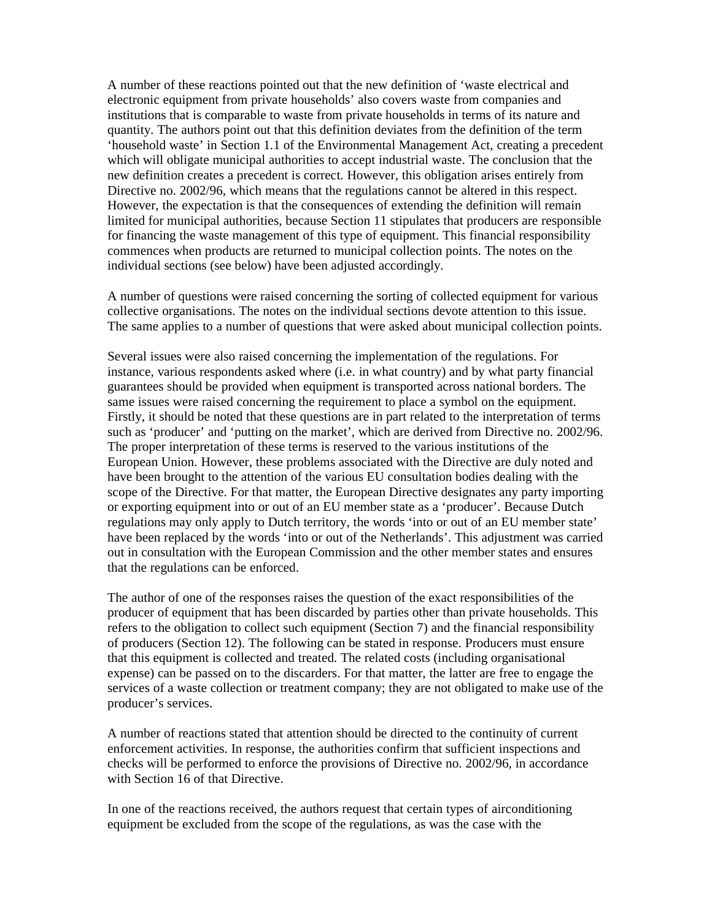A number of these reactions pointed out that the new definition of 'waste electrical and electronic equipment from private households' also covers waste from companies and institutions that is comparable to waste from private households in terms of its nature and quantity. The authors point out that this definition deviates from the definition of the term 'household waste' in Section 1.1 of the Environmental Management Act, creating a precedent which will obligate municipal authorities to accept industrial waste. The conclusion that the new definition creates a precedent is correct. However, this obligation arises entirely from Directive no. 2002/96, which means that the regulations cannot be altered in this respect. However, the expectation is that the consequences of extending the definition will remain limited for municipal authorities, because Section 11 stipulates that producers are responsible for financing the waste management of this type of equipment. This financial responsibility commences when products are returned to municipal collection points. The notes on the individual sections (see below) have been adjusted accordingly.

A number of questions were raised concerning the sorting of collected equipment for various collective organisations. The notes on the individual sections devote attention to this issue. The same applies to a number of questions that were asked about municipal collection points.

Several issues were also raised concerning the implementation of the regulations. For instance, various respondents asked where (i.e. in what country) and by what party financial guarantees should be provided when equipment is transported across national borders. The same issues were raised concerning the requirement to place a symbol on the equipment. Firstly, it should be noted that these questions are in part related to the interpretation of terms such as 'producer' and 'putting on the market', which are derived from Directive no. 2002/96. The proper interpretation of these terms is reserved to the various institutions of the European Union. However, these problems associated with the Directive are duly noted and have been brought to the attention of the various EU consultation bodies dealing with the scope of the Directive. For that matter, the European Directive designates any party importing or exporting equipment into or out of an EU member state as a 'producer'. Because Dutch regulations may only apply to Dutch territory, the words 'into or out of an EU member state' have been replaced by the words 'into or out of the Netherlands'. This adjustment was carried out in consultation with the European Commission and the other member states and ensures that the regulations can be enforced.

The author of one of the responses raises the question of the exact responsibilities of the producer of equipment that has been discarded by parties other than private households. This refers to the obligation to collect such equipment (Section 7) and the financial responsibility of producers (Section 12). The following can be stated in response. Producers must ensure that this equipment is collected and treated. The related costs (including organisational expense) can be passed on to the discarders. For that matter, the latter are free to engage the services of a waste collection or treatment company; they are not obligated to make use of the producer's services.

A number of reactions stated that attention should be directed to the continuity of current enforcement activities. In response, the authorities confirm that sufficient inspections and checks will be performed to enforce the provisions of Directive no. 2002/96, in accordance with Section 16 of that Directive.

In one of the reactions received, the authors request that certain types of airconditioning equipment be excluded from the scope of the regulations, as was the case with the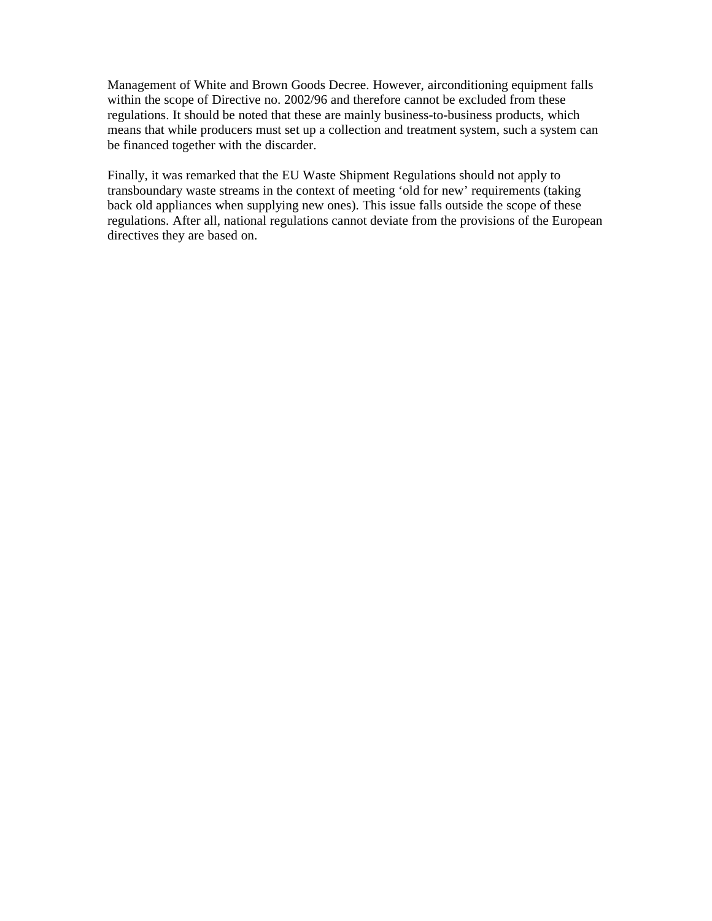Management of White and Brown Goods Decree. However, airconditioning equipment falls within the scope of Directive no. 2002/96 and therefore cannot be excluded from these regulations. It should be noted that these are mainly business-to-business products, which means that while producers must set up a collection and treatment system, such a system can be financed together with the discarder.

Finally, it was remarked that the EU Waste Shipment Regulations should not apply to transboundary waste streams in the context of meeting 'old for new' requirements (taking back old appliances when supplying new ones). This issue falls outside the scope of these regulations. After all, national regulations cannot deviate from the provisions of the European directives they are based on.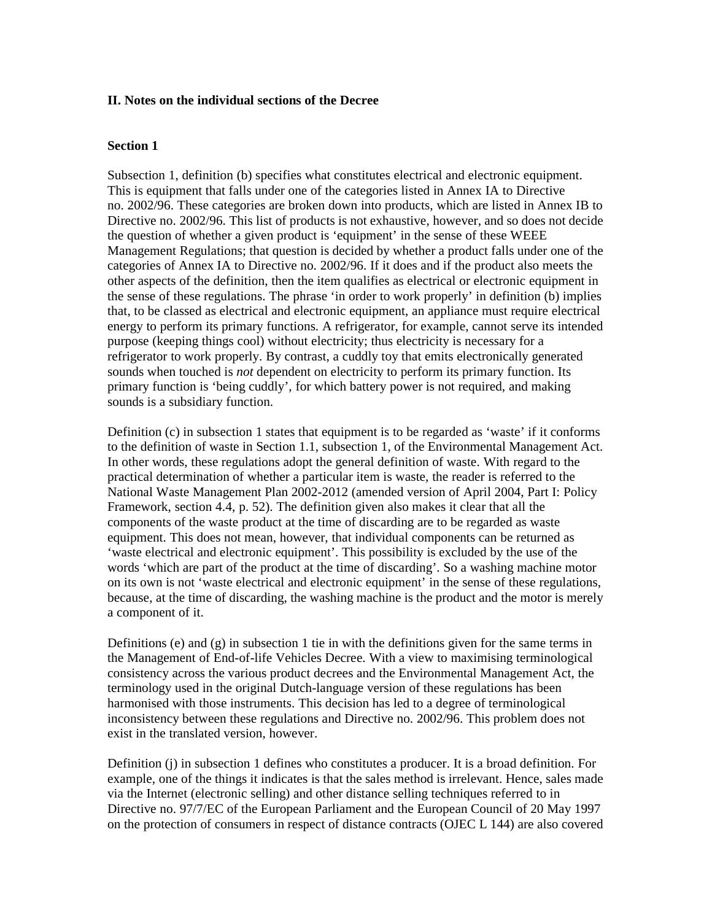#### **II. Notes on the individual sections of the Decree**

#### **Section 1**

Subsection 1, definition (b) specifies what constitutes electrical and electronic equipment. This is equipment that falls under one of the categories listed in Annex IA to Directive no. 2002/96. These categories are broken down into products, which are listed in Annex IB to Directive no. 2002/96. This list of products is not exhaustive, however, and so does not decide the question of whether a given product is 'equipment' in the sense of these WEEE Management Regulations; that question is decided by whether a product falls under one of the categories of Annex IA to Directive no. 2002/96. If it does and if the product also meets the other aspects of the definition, then the item qualifies as electrical or electronic equipment in the sense of these regulations. The phrase 'in order to work properly' in definition (b) implies that, to be classed as electrical and electronic equipment, an appliance must require electrical energy to perform its primary functions. A refrigerator, for example, cannot serve its intended purpose (keeping things cool) without electricity; thus electricity is necessary for a refrigerator to work properly. By contrast, a cuddly toy that emits electronically generated sounds when touched is *not* dependent on electricity to perform its primary function. Its primary function is 'being cuddly', for which battery power is not required, and making sounds is a subsidiary function.

Definition (c) in subsection 1 states that equipment is to be regarded as 'waste' if it conforms to the definition of waste in Section 1.1, subsection 1, of the Environmental Management Act. In other words, these regulations adopt the general definition of waste. With regard to the practical determination of whether a particular item is waste, the reader is referred to the National Waste Management Plan 2002-2012 (amended version of April 2004, Part I: Policy Framework, section 4.4, p. 52). The definition given also makes it clear that all the components of the waste product at the time of discarding are to be regarded as waste equipment. This does not mean, however, that individual components can be returned as 'waste electrical and electronic equipment'. This possibility is excluded by the use of the words 'which are part of the product at the time of discarding'. So a washing machine motor on its own is not 'waste electrical and electronic equipment' in the sense of these regulations, because, at the time of discarding, the washing machine is the product and the motor is merely a component of it.

Definitions (e) and (g) in subsection 1 tie in with the definitions given for the same terms in the Management of End-of-life Vehicles Decree. With a view to maximising terminological consistency across the various product decrees and the Environmental Management Act, the terminology used in the original Dutch-language version of these regulations has been harmonised with those instruments. This decision has led to a degree of terminological inconsistency between these regulations and Directive no. 2002/96. This problem does not exist in the translated version, however.

Definition (j) in subsection 1 defines who constitutes a producer. It is a broad definition. For example, one of the things it indicates is that the sales method is irrelevant. Hence, sales made via the Internet (electronic selling) and other distance selling techniques referred to in Directive no. 97/7/EC of the European Parliament and the European Council of 20 May 1997 on the protection of consumers in respect of distance contracts (OJEC L 144) are also covered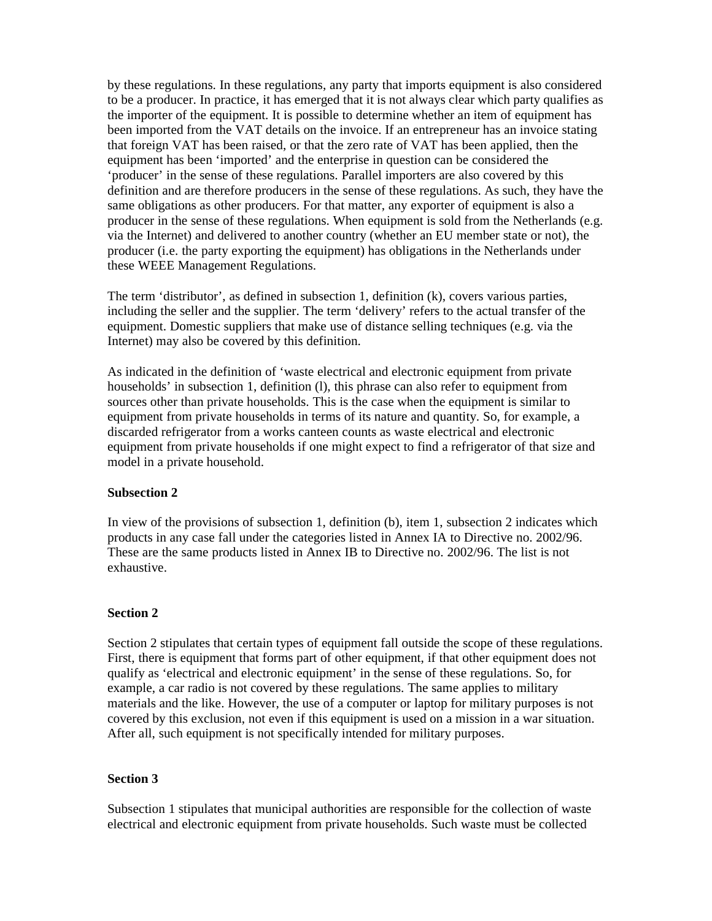by these regulations. In these regulations, any party that imports equipment is also considered to be a producer. In practice, it has emerged that it is not always clear which party qualifies as the importer of the equipment. It is possible to determine whether an item of equipment has been imported from the VAT details on the invoice. If an entrepreneur has an invoice stating that foreign VAT has been raised, or that the zero rate of VAT has been applied, then the equipment has been 'imported' and the enterprise in question can be considered the 'producer' in the sense of these regulations. Parallel importers are also covered by this definition and are therefore producers in the sense of these regulations. As such, they have the same obligations as other producers. For that matter, any exporter of equipment is also a producer in the sense of these regulations. When equipment is sold from the Netherlands (e.g. via the Internet) and delivered to another country (whether an EU member state or not), the producer (i.e. the party exporting the equipment) has obligations in the Netherlands under these WEEE Management Regulations.

The term 'distributor', as defined in subsection 1, definition (k), covers various parties, including the seller and the supplier. The term 'delivery' refers to the actual transfer of the equipment. Domestic suppliers that make use of distance selling techniques (e.g. via the Internet) may also be covered by this definition.

As indicated in the definition of 'waste electrical and electronic equipment from private households' in subsection 1, definition (l), this phrase can also refer to equipment from sources other than private households. This is the case when the equipment is similar to equipment from private households in terms of its nature and quantity. So, for example, a discarded refrigerator from a works canteen counts as waste electrical and electronic equipment from private households if one might expect to find a refrigerator of that size and model in a private household.

### **Subsection 2**

In view of the provisions of subsection 1, definition (b), item 1, subsection 2 indicates which products in any case fall under the categories listed in Annex IA to Directive no. 2002/96. These are the same products listed in Annex IB to Directive no. 2002/96. The list is not exhaustive.

#### **Section 2**

Section 2 stipulates that certain types of equipment fall outside the scope of these regulations. First, there is equipment that forms part of other equipment, if that other equipment does not qualify as 'electrical and electronic equipment' in the sense of these regulations. So, for example, a car radio is not covered by these regulations. The same applies to military materials and the like. However, the use of a computer or laptop for military purposes is not covered by this exclusion, not even if this equipment is used on a mission in a war situation. After all, such equipment is not specifically intended for military purposes.

#### **Section 3**

Subsection 1 stipulates that municipal authorities are responsible for the collection of waste electrical and electronic equipment from private households. Such waste must be collected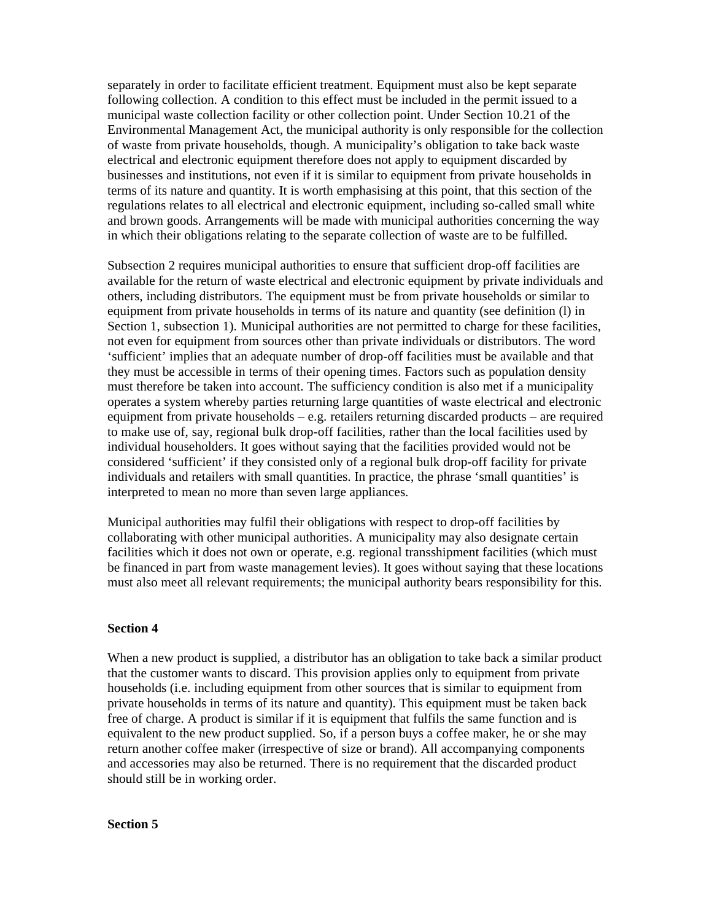separately in order to facilitate efficient treatment. Equipment must also be kept separate following collection. A condition to this effect must be included in the permit issued to a municipal waste collection facility or other collection point. Under Section 10.21 of the Environmental Management Act, the municipal authority is only responsible for the collection of waste from private households, though. A municipality's obligation to take back waste electrical and electronic equipment therefore does not apply to equipment discarded by businesses and institutions, not even if it is similar to equipment from private households in terms of its nature and quantity. It is worth emphasising at this point, that this section of the regulations relates to all electrical and electronic equipment, including so-called small white and brown goods. Arrangements will be made with municipal authorities concerning the way in which their obligations relating to the separate collection of waste are to be fulfilled.

Subsection 2 requires municipal authorities to ensure that sufficient drop-off facilities are available for the return of waste electrical and electronic equipment by private individuals and others, including distributors. The equipment must be from private households or similar to equipment from private households in terms of its nature and quantity (see definition (l) in Section 1, subsection 1). Municipal authorities are not permitted to charge for these facilities, not even for equipment from sources other than private individuals or distributors. The word 'sufficient' implies that an adequate number of drop-off facilities must be available and that they must be accessible in terms of their opening times. Factors such as population density must therefore be taken into account. The sufficiency condition is also met if a municipality operates a system whereby parties returning large quantities of waste electrical and electronic equipment from private households – e.g. retailers returning discarded products – are required to make use of, say, regional bulk drop-off facilities, rather than the local facilities used by individual householders. It goes without saying that the facilities provided would not be considered 'sufficient' if they consisted only of a regional bulk drop-off facility for private individuals and retailers with small quantities. In practice, the phrase 'small quantities' is interpreted to mean no more than seven large appliances.

Municipal authorities may fulfil their obligations with respect to drop-off facilities by collaborating with other municipal authorities. A municipality may also designate certain facilities which it does not own or operate, e.g. regional transshipment facilities (which must be financed in part from waste management levies). It goes without saying that these locations must also meet all relevant requirements; the municipal authority bears responsibility for this.

### **Section 4**

When a new product is supplied, a distributor has an obligation to take back a similar product that the customer wants to discard. This provision applies only to equipment from private households (i.e. including equipment from other sources that is similar to equipment from private households in terms of its nature and quantity). This equipment must be taken back free of charge. A product is similar if it is equipment that fulfils the same function and is equivalent to the new product supplied. So, if a person buys a coffee maker, he or she may return another coffee maker (irrespective of size or brand). All accompanying components and accessories may also be returned. There is no requirement that the discarded product should still be in working order.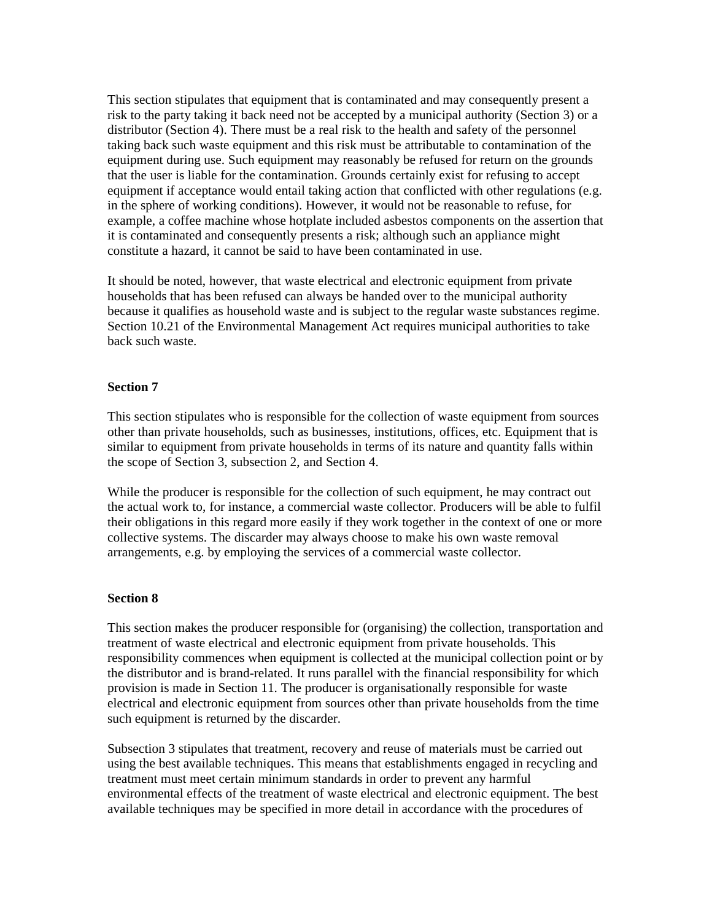This section stipulates that equipment that is contaminated and may consequently present a risk to the party taking it back need not be accepted by a municipal authority (Section 3) or a distributor (Section 4). There must be a real risk to the health and safety of the personnel taking back such waste equipment and this risk must be attributable to contamination of the equipment during use. Such equipment may reasonably be refused for return on the grounds that the user is liable for the contamination. Grounds certainly exist for refusing to accept equipment if acceptance would entail taking action that conflicted with other regulations (e.g. in the sphere of working conditions). However, it would not be reasonable to refuse, for example, a coffee machine whose hotplate included asbestos components on the assertion that it is contaminated and consequently presents a risk; although such an appliance might constitute a hazard, it cannot be said to have been contaminated in use.

It should be noted, however, that waste electrical and electronic equipment from private households that has been refused can always be handed over to the municipal authority because it qualifies as household waste and is subject to the regular waste substances regime. Section 10.21 of the Environmental Management Act requires municipal authorities to take back such waste.

### **Section 7**

This section stipulates who is responsible for the collection of waste equipment from sources other than private households, such as businesses, institutions, offices, etc. Equipment that is similar to equipment from private households in terms of its nature and quantity falls within the scope of Section 3, subsection 2, and Section 4.

While the producer is responsible for the collection of such equipment, he may contract out the actual work to, for instance, a commercial waste collector. Producers will be able to fulfil their obligations in this regard more easily if they work together in the context of one or more collective systems. The discarder may always choose to make his own waste removal arrangements, e.g. by employing the services of a commercial waste collector.

#### **Section 8**

This section makes the producer responsible for (organising) the collection, transportation and treatment of waste electrical and electronic equipment from private households. This responsibility commences when equipment is collected at the municipal collection point or by the distributor and is brand-related. It runs parallel with the financial responsibility for which provision is made in Section 11. The producer is organisationally responsible for waste electrical and electronic equipment from sources other than private households from the time such equipment is returned by the discarder.

Subsection 3 stipulates that treatment, recovery and reuse of materials must be carried out using the best available techniques. This means that establishments engaged in recycling and treatment must meet certain minimum standards in order to prevent any harmful environmental effects of the treatment of waste electrical and electronic equipment. The best available techniques may be specified in more detail in accordance with the procedures of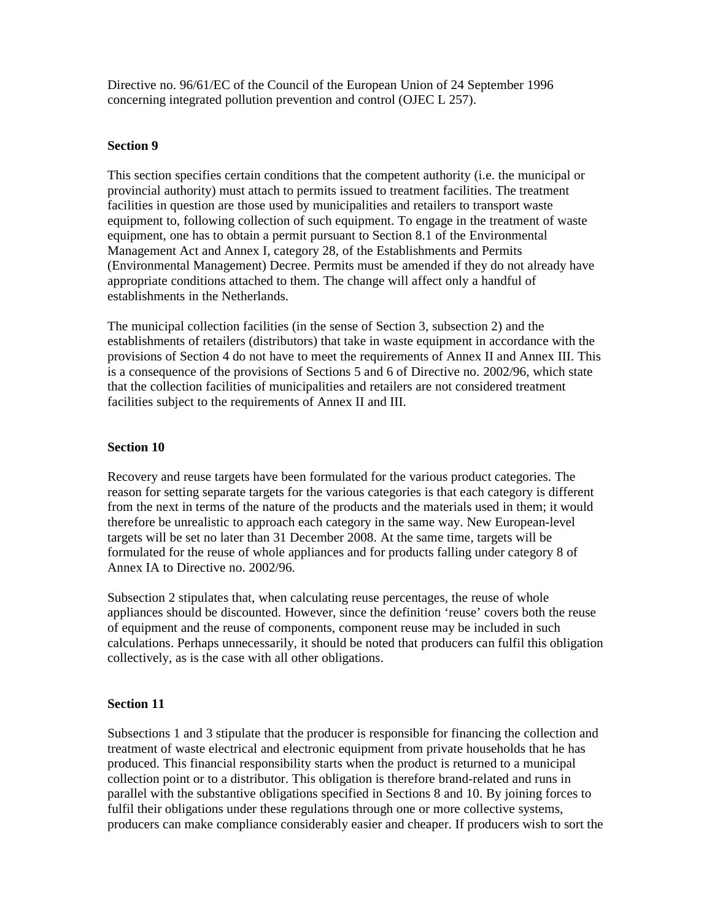Directive no. 96/61/EC of the Council of the European Union of 24 September 1996 concerning integrated pollution prevention and control (OJEC L 257).

### **Section 9**

This section specifies certain conditions that the competent authority (i.e. the municipal or provincial authority) must attach to permits issued to treatment facilities. The treatment facilities in question are those used by municipalities and retailers to transport waste equipment to, following collection of such equipment. To engage in the treatment of waste equipment, one has to obtain a permit pursuant to Section 8.1 of the Environmental Management Act and Annex I, category 28, of the Establishments and Permits (Environmental Management) Decree. Permits must be amended if they do not already have appropriate conditions attached to them. The change will affect only a handful of establishments in the Netherlands.

The municipal collection facilities (in the sense of Section 3, subsection 2) and the establishments of retailers (distributors) that take in waste equipment in accordance with the provisions of Section 4 do not have to meet the requirements of Annex II and Annex III. This is a consequence of the provisions of Sections 5 and 6 of Directive no. 2002/96, which state that the collection facilities of municipalities and retailers are not considered treatment facilities subject to the requirements of Annex II and III.

### **Section 10**

Recovery and reuse targets have been formulated for the various product categories. The reason for setting separate targets for the various categories is that each category is different from the next in terms of the nature of the products and the materials used in them; it would therefore be unrealistic to approach each category in the same way. New European-level targets will be set no later than 31 December 2008. At the same time, targets will be formulated for the reuse of whole appliances and for products falling under category 8 of Annex IA to Directive no. 2002/96.

Subsection 2 stipulates that, when calculating reuse percentages, the reuse of whole appliances should be discounted. However, since the definition 'reuse' covers both the reuse of equipment and the reuse of components, component reuse may be included in such calculations. Perhaps unnecessarily, it should be noted that producers can fulfil this obligation collectively, as is the case with all other obligations.

## **Section 11**

Subsections 1 and 3 stipulate that the producer is responsible for financing the collection and treatment of waste electrical and electronic equipment from private households that he has produced. This financial responsibility starts when the product is returned to a municipal collection point or to a distributor. This obligation is therefore brand-related and runs in parallel with the substantive obligations specified in Sections 8 and 10. By joining forces to fulfil their obligations under these regulations through one or more collective systems, producers can make compliance considerably easier and cheaper. If producers wish to sort the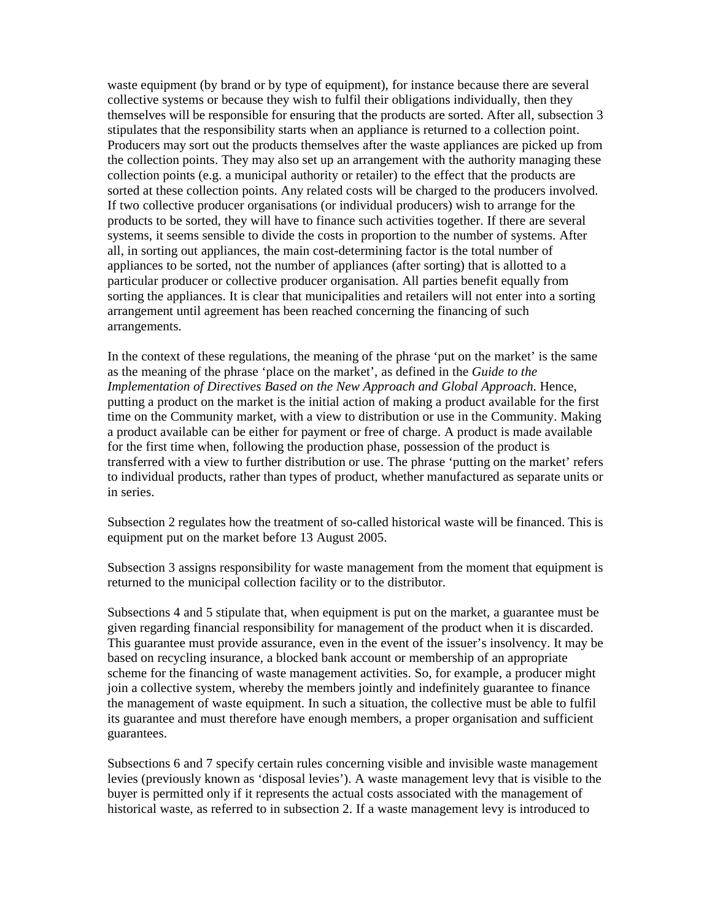waste equipment (by brand or by type of equipment), for instance because there are several collective systems or because they wish to fulfil their obligations individually, then they themselves will be responsible for ensuring that the products are sorted. After all, subsection 3 stipulates that the responsibility starts when an appliance is returned to a collection point. Producers may sort out the products themselves after the waste appliances are picked up from the collection points. They may also set up an arrangement with the authority managing these collection points (e.g. a municipal authority or retailer) to the effect that the products are sorted at these collection points. Any related costs will be charged to the producers involved. If two collective producer organisations (or individual producers) wish to arrange for the products to be sorted, they will have to finance such activities together. If there are several systems, it seems sensible to divide the costs in proportion to the number of systems. After all, in sorting out appliances, the main cost-determining factor is the total number of appliances to be sorted, not the number of appliances (after sorting) that is allotted to a particular producer or collective producer organisation. All parties benefit equally from sorting the appliances. It is clear that municipalities and retailers will not enter into a sorting arrangement until agreement has been reached concerning the financing of such arrangements.

In the context of these regulations, the meaning of the phrase 'put on the market' is the same as the meaning of the phrase 'place on the market', as defined in the *Guide to the Implementation of Directives Based on the New Approach and Global Approach*. Hence, putting a product on the market is the initial action of making a product available for the first time on the Community market, with a view to distribution or use in the Community. Making a product available can be either for payment or free of charge. A product is made available for the first time when, following the production phase, possession of the product is transferred with a view to further distribution or use. The phrase 'putting on the market' refers to individual products, rather than types of product, whether manufactured as separate units or in series.

Subsection 2 regulates how the treatment of so-called historical waste will be financed. This is equipment put on the market before 13 August 2005.

Subsection 3 assigns responsibility for waste management from the moment that equipment is returned to the municipal collection facility or to the distributor.

Subsections 4 and 5 stipulate that, when equipment is put on the market, a guarantee must be given regarding financial responsibility for management of the product when it is discarded. This guarantee must provide assurance, even in the event of the issuer's insolvency. It may be based on recycling insurance, a blocked bank account or membership of an appropriate scheme for the financing of waste management activities. So, for example, a producer might join a collective system, whereby the members jointly and indefinitely guarantee to finance the management of waste equipment. In such a situation, the collective must be able to fulfil its guarantee and must therefore have enough members, a proper organisation and sufficient guarantees.

Subsections 6 and 7 specify certain rules concerning visible and invisible waste management levies (previously known as 'disposal levies'). A waste management levy that is visible to the buyer is permitted only if it represents the actual costs associated with the management of historical waste, as referred to in subsection 2. If a waste management levy is introduced to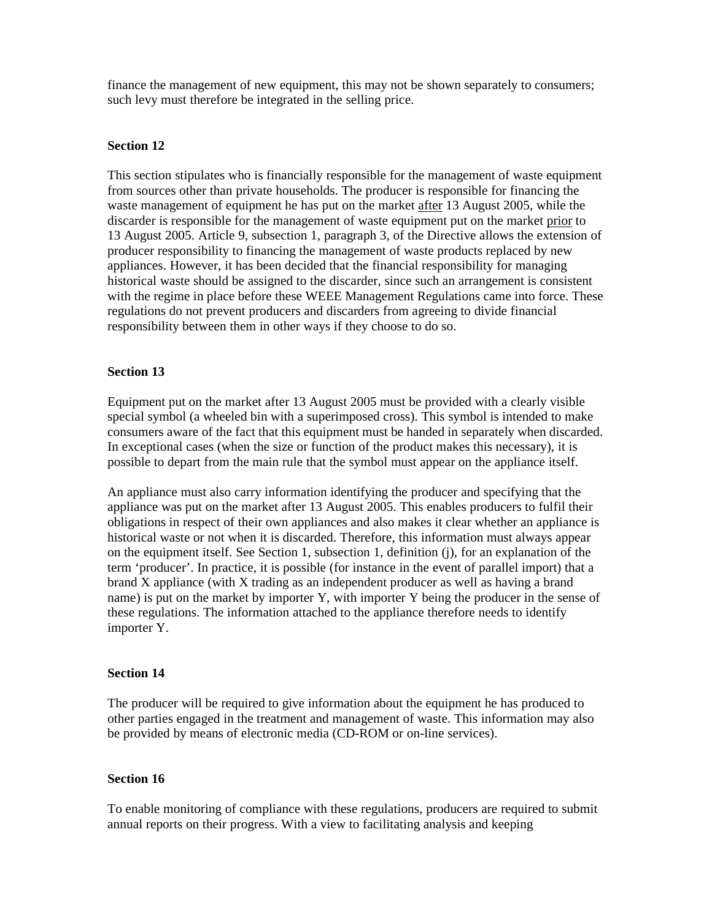finance the management of new equipment, this may not be shown separately to consumers; such levy must therefore be integrated in the selling price.

### **Section 12**

This section stipulates who is financially responsible for the management of waste equipment from sources other than private households. The producer is responsible for financing the waste management of equipment he has put on the market after 13 August 2005, while the discarder is responsible for the management of waste equipment put on the market prior to 13 August 2005. Article 9, subsection 1, paragraph 3, of the Directive allows the extension of producer responsibility to financing the management of waste products replaced by new appliances. However, it has been decided that the financial responsibility for managing historical waste should be assigned to the discarder, since such an arrangement is consistent with the regime in place before these WEEE Management Regulations came into force. These regulations do not prevent producers and discarders from agreeing to divide financial responsibility between them in other ways if they choose to do so.

### **Section 13**

Equipment put on the market after 13 August 2005 must be provided with a clearly visible special symbol (a wheeled bin with a superimposed cross). This symbol is intended to make consumers aware of the fact that this equipment must be handed in separately when discarded. In exceptional cases (when the size or function of the product makes this necessary), it is possible to depart from the main rule that the symbol must appear on the appliance itself.

An appliance must also carry information identifying the producer and specifying that the appliance was put on the market after 13 August 2005. This enables producers to fulfil their obligations in respect of their own appliances and also makes it clear whether an appliance is historical waste or not when it is discarded. Therefore, this information must always appear on the equipment itself. See Section 1, subsection 1, definition (j), for an explanation of the term 'producer'. In practice, it is possible (for instance in the event of parallel import) that a brand X appliance (with X trading as an independent producer as well as having a brand name) is put on the market by importer Y, with importer Y being the producer in the sense of these regulations. The information attached to the appliance therefore needs to identify importer Y.

### **Section 14**

The producer will be required to give information about the equipment he has produced to other parties engaged in the treatment and management of waste. This information may also be provided by means of electronic media (CD-ROM or on-line services).

### **Section 16**

To enable monitoring of compliance with these regulations, producers are required to submit annual reports on their progress. With a view to facilitating analysis and keeping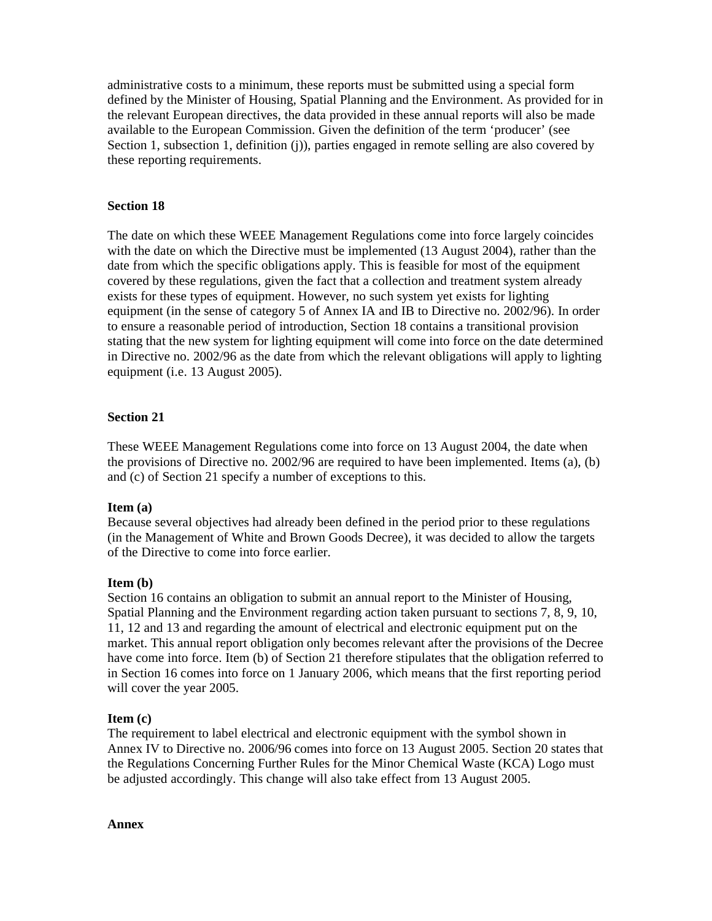administrative costs to a minimum, these reports must be submitted using a special form defined by the Minister of Housing, Spatial Planning and the Environment. As provided for in the relevant European directives, the data provided in these annual reports will also be made available to the European Commission. Given the definition of the term 'producer' (see Section 1, subsection 1, definition (j)), parties engaged in remote selling are also covered by these reporting requirements.

### **Section 18**

The date on which these WEEE Management Regulations come into force largely coincides with the date on which the Directive must be implemented (13 August 2004), rather than the date from which the specific obligations apply. This is feasible for most of the equipment covered by these regulations, given the fact that a collection and treatment system already exists for these types of equipment. However, no such system yet exists for lighting equipment (in the sense of category 5 of Annex IA and IB to Directive no. 2002/96). In order to ensure a reasonable period of introduction, Section 18 contains a transitional provision stating that the new system for lighting equipment will come into force on the date determined in Directive no. 2002/96 as the date from which the relevant obligations will apply to lighting equipment (i.e. 13 August 2005).

### **Section 21**

These WEEE Management Regulations come into force on 13 August 2004, the date when the provisions of Directive no. 2002/96 are required to have been implemented. Items (a), (b) and (c) of Section 21 specify a number of exceptions to this.

### **Item (a)**

Because several objectives had already been defined in the period prior to these regulations (in the Management of White and Brown Goods Decree), it was decided to allow the targets of the Directive to come into force earlier.

### **Item (b)**

Section 16 contains an obligation to submit an annual report to the Minister of Housing, Spatial Planning and the Environment regarding action taken pursuant to sections 7, 8, 9, 10, 11, 12 and 13 and regarding the amount of electrical and electronic equipment put on the market. This annual report obligation only becomes relevant after the provisions of the Decree have come into force. Item (b) of Section 21 therefore stipulates that the obligation referred to in Section 16 comes into force on 1 January 2006, which means that the first reporting period will cover the year 2005.

### **Item (c)**

The requirement to label electrical and electronic equipment with the symbol shown in Annex IV to Directive no. 2006/96 comes into force on 13 August 2005. Section 20 states that the Regulations Concerning Further Rules for the Minor Chemical Waste (KCA) Logo must be adjusted accordingly. This change will also take effect from 13 August 2005.

### **Annex**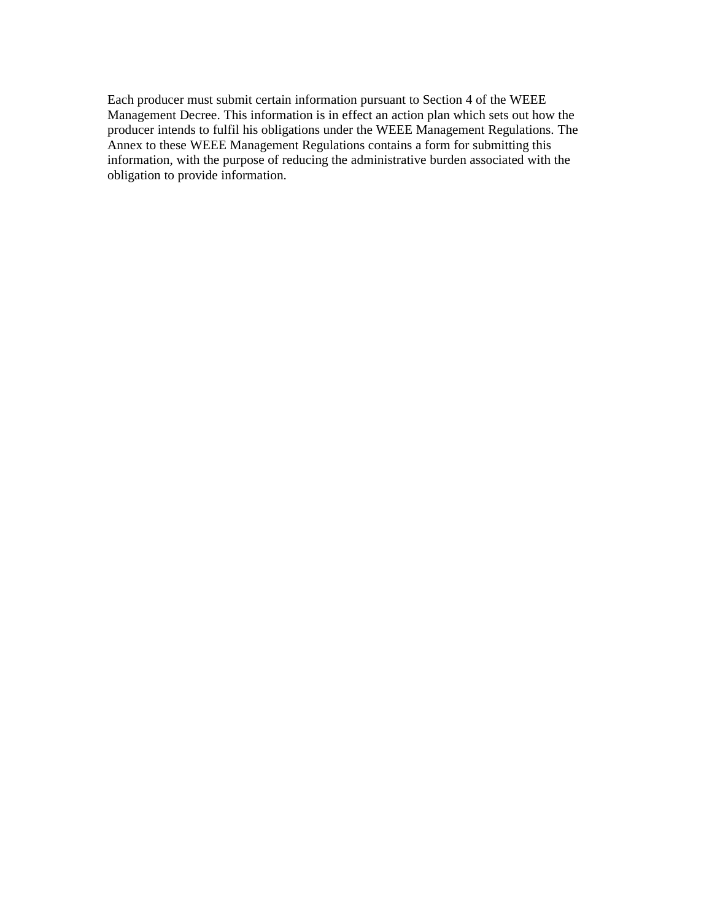Each producer must submit certain information pursuant to Section 4 of the WEEE Management Decree. This information is in effect an action plan which sets out how the producer intends to fulfil his obligations under the WEEE Management Regulations. The Annex to these WEEE Management Regulations contains a form for submitting this information, with the purpose of reducing the administrative burden associated with the obligation to provide information.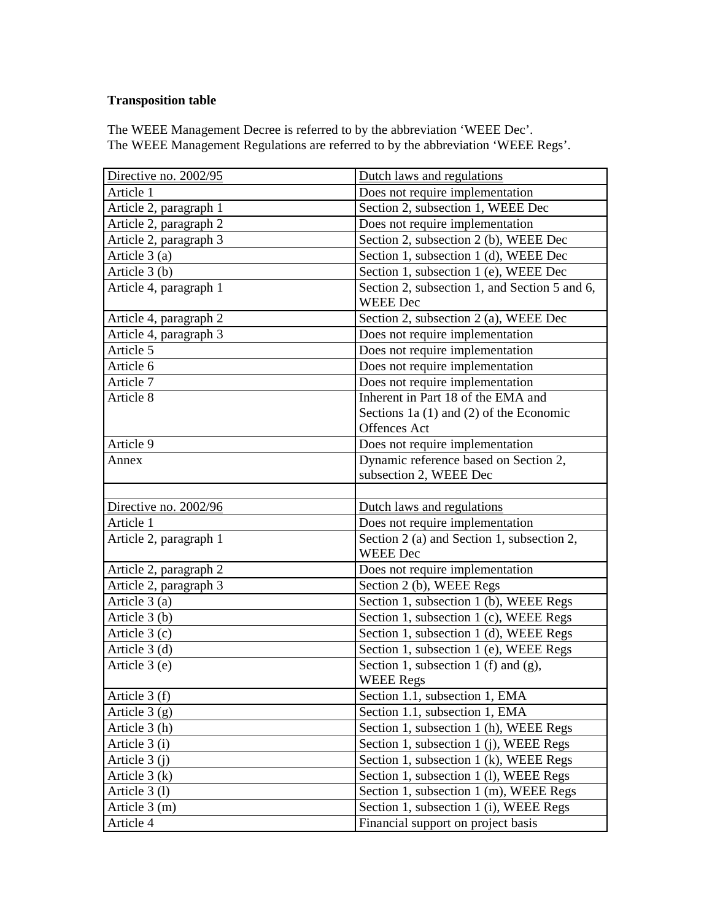# **Transposition table**

The WEEE Management Decree is referred to by the abbreviation 'WEEE Dec'. The WEEE Management Regulations are referred to by the abbreviation 'WEEE Regs'.

| Directive no. 2002/95  | Dutch laws and regulations                                    |
|------------------------|---------------------------------------------------------------|
| Article 1              | Does not require implementation                               |
| Article 2, paragraph 1 | Section 2, subsection 1, WEEE Dec                             |
| Article 2, paragraph 2 | Does not require implementation                               |
| Article 2, paragraph 3 | Section 2, subsection 2 (b), WEEE Dec                         |
| Article $3(a)$         | Section 1, subsection 1 (d), WEEE Dec                         |
| Article 3 (b)          | Section 1, subsection 1 (e), WEEE Dec                         |
| Article 4, paragraph 1 | Section 2, subsection 1, and Section 5 and 6,                 |
|                        | <b>WEEE Dec</b>                                               |
| Article 4, paragraph 2 | Section 2, subsection 2 (a), WEEE Dec                         |
| Article 4, paragraph 3 | Does not require implementation                               |
| Article 5              | Does not require implementation                               |
| Article 6              | Does not require implementation                               |
| Article 7              | Does not require implementation                               |
| Article 8              | Inherent in Part 18 of the EMA and                            |
|                        | Sections 1a $(1)$ and $(2)$ of the Economic                   |
|                        | Offences Act                                                  |
| Article 9              | Does not require implementation                               |
| Annex                  | Dynamic reference based on Section 2,                         |
|                        | subsection 2, WEEE Dec                                        |
|                        |                                                               |
|                        |                                                               |
| Directive no. 2002/96  | Dutch laws and regulations                                    |
| Article 1              | Does not require implementation                               |
| Article 2, paragraph 1 | Section 2 (a) and Section 1, subsection 2,<br><b>WEEE Dec</b> |
| Article 2, paragraph 2 | Does not require implementation                               |
| Article 2, paragraph 3 | Section 2 (b), WEEE Regs                                      |
| Article 3 (a)          | Section 1, subsection 1 (b), WEEE Regs                        |
| Article $3(b)$         | Section 1, subsection 1 (c), WEEE Regs                        |
| Article $3(c)$         | Section 1, subsection 1 (d), WEEE Regs                        |
| Article $3(d)$         | Section 1, subsection 1 (e), WEEE Regs                        |
| Article 3 (e)          | Section 1, subsection 1 (f) and (g),                          |
|                        | <b>WEEE Regs</b>                                              |
| Article 3 (f)          | Section 1.1, subsection 1, EMA                                |
| Article $3(g)$         | Section 1.1, subsection 1, EMA                                |
| Article 3 (h)          | Section 1, subsection 1 (h), WEEE Regs                        |
| Article 3 (i)          | Section 1, subsection 1 (j), WEEE Regs                        |
| Article $3(j)$         | Section 1, subsection 1 (k), WEEE Regs                        |
| Article $3(k)$         | Section 1, subsection 1 (1), WEEE Regs                        |
| Article 3 (1)          | Section 1, subsection 1 (m), WEEE Regs                        |
| Article $3(m)$         | Section 1, subsection 1 (i), WEEE Regs                        |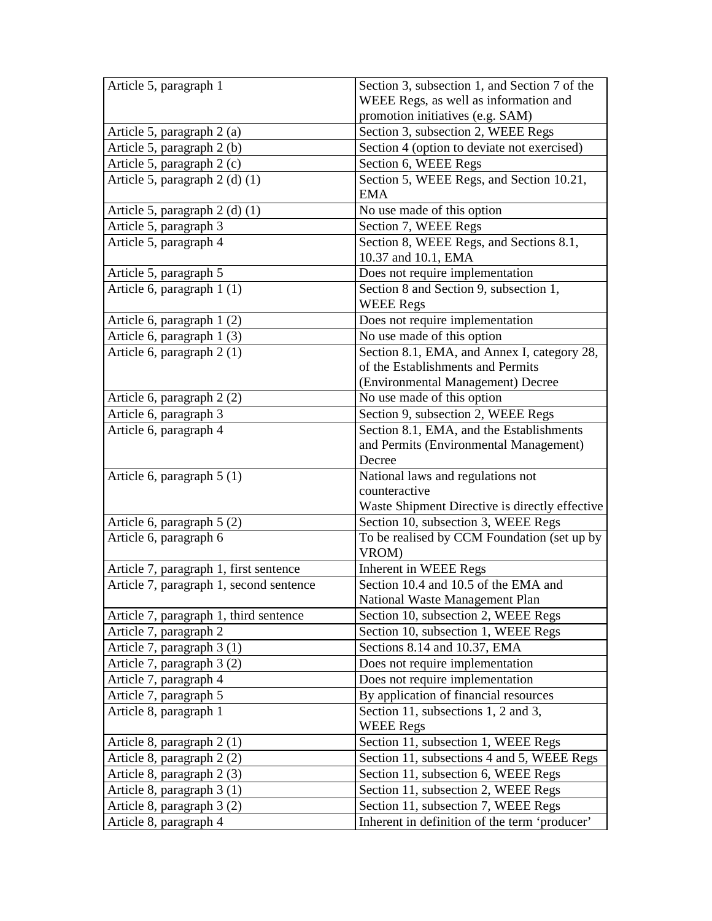| Article 5, paragraph 1                  | Section 3, subsection 1, and Section 7 of the  |
|-----------------------------------------|------------------------------------------------|
|                                         | WEEE Regs, as well as information and          |
|                                         | promotion initiatives (e.g. SAM)               |
| Article 5, paragraph 2 (a)              | Section 3, subsection 2, WEEE Regs             |
| Article 5, paragraph 2 (b)              | Section 4 (option to deviate not exercised)    |
| Article 5, paragraph 2 (c)              | Section 6, WEEE Regs                           |
| Article 5, paragraph 2 (d) (1)          | Section 5, WEEE Regs, and Section 10.21,       |
|                                         | <b>EMA</b>                                     |
| Article 5, paragraph 2 (d) (1)          | No use made of this option                     |
| Article 5, paragraph 3                  | Section 7, WEEE Regs                           |
| Article 5, paragraph 4                  | Section 8, WEEE Regs, and Sections 8.1,        |
|                                         | 10.37 and 10.1, EMA                            |
| Article 5, paragraph 5                  | Does not require implementation                |
| Article 6, paragraph 1 (1)              | Section 8 and Section 9, subsection 1,         |
|                                         | <b>WEEE Regs</b>                               |
| Article 6, paragraph 1 (2)              | Does not require implementation                |
| Article 6, paragraph 1 (3)              | No use made of this option                     |
| Article 6, paragraph 2 (1)              | Section 8.1, EMA, and Annex I, category 28,    |
|                                         | of the Establishments and Permits              |
|                                         | (Environmental Management) Decree              |
| Article 6, paragraph 2 (2)              | No use made of this option                     |
| Article 6, paragraph 3                  | Section 9, subsection 2, WEEE Regs             |
| Article 6, paragraph 4                  | Section 8.1, EMA, and the Establishments       |
|                                         | and Permits (Environmental Management)         |
|                                         | Decree                                         |
| Article 6, paragraph $5(1)$             | National laws and regulations not              |
|                                         | counteractive                                  |
|                                         | Waste Shipment Directive is directly effective |
| Article 6, paragraph $5(2)$             | Section 10, subsection 3, WEEE Regs            |
| Article 6, paragraph 6                  | To be realised by CCM Foundation (set up by    |
|                                         | VROM)                                          |
| Article 7, paragraph 1, first sentence  | Inherent in WEEE Regs                          |
| Article 7, paragraph 1, second sentence | Section 10.4 and 10.5 of the EMA and           |
|                                         | National Waste Management Plan                 |
| Article 7, paragraph 1, third sentence  | Section 10, subsection 2, WEEE Regs            |
| Article 7, paragraph 2                  | Section 10, subsection 1, WEEE Regs            |
| Article 7, paragraph 3 (1)              | Sections 8.14 and 10.37, EMA                   |
| Article 7, paragraph 3 (2)              | Does not require implementation                |
| Article 7, paragraph 4                  |                                                |
|                                         | Does not require implementation                |
| Article 7, paragraph 5                  | By application of financial resources          |
| Article 8, paragraph 1                  | Section 11, subsections 1, 2 and 3,            |
|                                         | <b>WEEE Regs</b>                               |
| Article 8, paragraph 2 (1)              | Section 11, subsection 1, WEEE Regs            |
| Article 8, paragraph 2 (2)              | Section 11, subsections 4 and 5, WEEE Regs     |
| Article 8, paragraph 2 (3)              | Section 11, subsection 6, WEEE Regs            |
| Article 8, paragraph 3 (1)              | Section 11, subsection 2, WEEE Regs            |
| Article 8, paragraph 3 (2)              | Section 11, subsection 7, WEEE Regs            |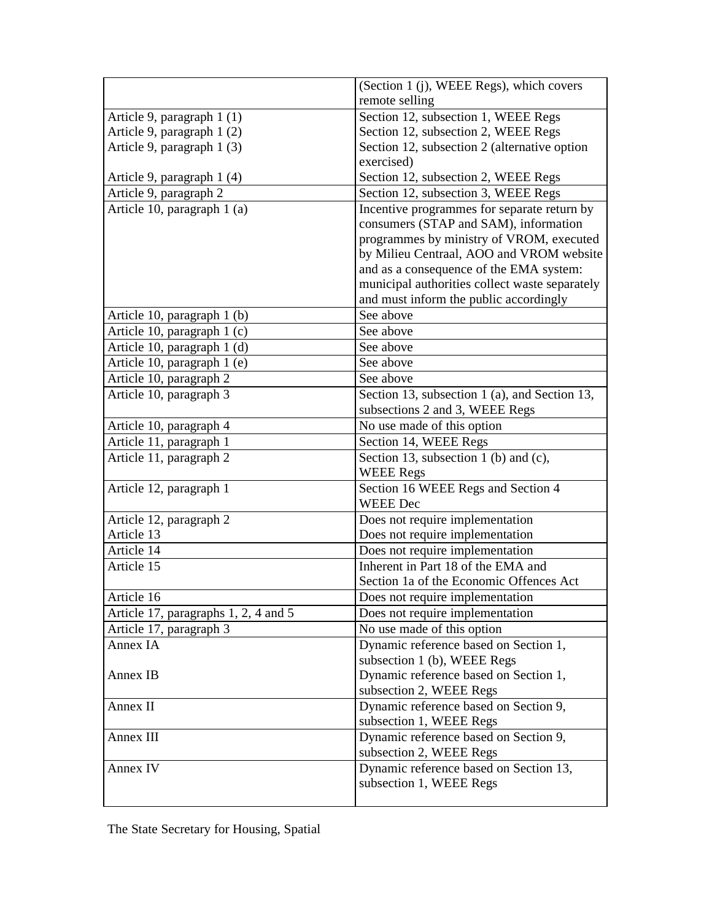|                                      | (Section 1 (j), WEEE Regs), which covers       |
|--------------------------------------|------------------------------------------------|
|                                      | remote selling                                 |
| Article 9, paragraph 1 (1)           | Section 12, subsection 1, WEEE Regs            |
| Article 9, paragraph 1 (2)           | Section 12, subsection 2, WEEE Regs            |
| Article 9, paragraph 1 (3)           | Section 12, subsection 2 (alternative option   |
|                                      | exercised)                                     |
| Article 9, paragraph 1 (4)           | Section 12, subsection 2, WEEE Regs            |
| Article 9, paragraph 2               | Section 12, subsection 3, WEEE Regs            |
| Article 10, paragraph 1 (a)          | Incentive programmes for separate return by    |
|                                      | consumers (STAP and SAM), information          |
|                                      | programmes by ministry of VROM, executed       |
|                                      | by Milieu Centraal, AOO and VROM website       |
|                                      | and as a consequence of the EMA system:        |
|                                      | municipal authorities collect waste separately |
|                                      | and must inform the public accordingly         |
| Article 10, paragraph 1 (b)          | See above                                      |
| Article 10, paragraph 1 (c)          | See above                                      |
| Article 10, paragraph 1 (d)          | See above                                      |
| Article 10, paragraph 1 (e)          | See above                                      |
| Article 10, paragraph 2              | See above                                      |
| Article 10, paragraph 3              | Section 13, subsection 1 (a), and Section 13,  |
|                                      | subsections 2 and 3, WEEE Regs                 |
| Article 10, paragraph 4              | No use made of this option                     |
| Article 11, paragraph 1              | Section 14, WEEE Regs                          |
| Article 11, paragraph 2              | Section 13, subsection 1 (b) and (c),          |
|                                      | <b>WEEE Regs</b>                               |
| Article 12, paragraph 1              | Section 16 WEEE Regs and Section 4             |
|                                      | <b>WEEE Dec</b>                                |
| Article 12, paragraph 2              | Does not require implementation                |
| Article 13                           | Does not require implementation                |
| Article 14                           | Does not require implementation                |
| Article 15                           | Inherent in Part 18 of the EMA and             |
|                                      | Section 1a of the Economic Offences Act        |
| Article 16                           | Does not require implementation                |
| Article 17, paragraphs 1, 2, 4 and 5 | Does not require implementation                |
| Article 17, paragraph 3              | No use made of this option                     |
| Annex IA                             | Dynamic reference based on Section 1,          |
|                                      | subsection 1 (b), WEEE Regs                    |
| Annex IB                             | Dynamic reference based on Section 1,          |
|                                      | subsection 2, WEEE Regs                        |
| Annex II                             | Dynamic reference based on Section 9,          |
|                                      | subsection 1, WEEE Regs                        |
| Annex III                            | Dynamic reference based on Section 9,          |
|                                      | subsection 2, WEEE Regs                        |
| Annex IV                             | Dynamic reference based on Section 13,         |
|                                      | subsection 1, WEEE Regs                        |
|                                      |                                                |

The State Secretary for Housing, Spatial